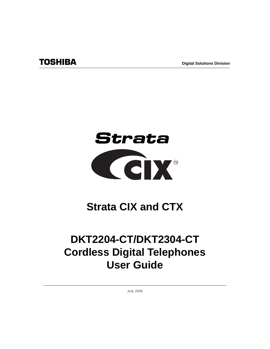

# **Strata CIX and CTX**

# **DKT2204-CT/DKT2304-CT Cordless Digital Telephones User Guide**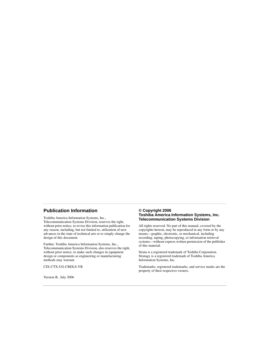#### **Publication Information**

Toshiba America Information Systems, Inc., Telecommunication Systems Division, reserves the right, without prior notice, to revise this information publication for any reason, including, but not limited to, utilization of new advances in the state of technical arts or to simply change the design of this document.

Further, Toshiba America Information Systems, Inc., Telecommunication Systems Division, also reserves the right, without prior notice, to make such changes in equipment design or components as engineering or manufacturing methods may warrant.

CIX-CTX-UG-CRDLS-VB

Version B, July 2006

#### **© Copyright 2006 Toshiba America Information Systems, Inc. Telecommunication Systems Division**

All rights reserved. No part of this manual, covered by the copyrights hereon, may be reproduced in any form or by any means—graphic, electronic, or mechanical, including recording, taping, photocopying, or information retrieval systems—without express written permission of the publisher of this material.

Strata is a registered trademark of Toshiba Corporation. Stratagy is a registered trademark of Toshiba America Information Systems, Inc.

Trademarks, registered trademarks, and service marks are the property of their respective owners.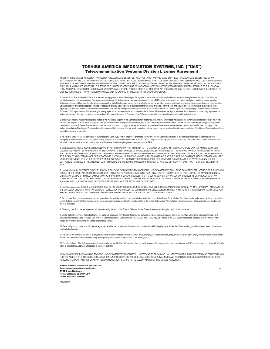#### TOSHIBA AMERICA INFORMATION SYSTEMS, INC. (**"**TAIS**"**) **Telecommunication Systems Division License Agreement**

IMPORTANT: THIS LICENSE AGREEMENT ("AGREEMENT") IS A LEGAL AGREEMENT BETWEEN YOU ("YOU") AND TAIS. CAREFULLY READ THIS LICENSE AGREEMENT. USE OF ANY SOFTWARE OR ANY RELATED INFORMATION (COLLECTIVELY, "SOFTWARE") INSTALLED ON OR SHIPPED WITH A TAIS TELECOMMUNICATION SYSTEMS PRODUCT OR OTHERWISE MADE AVAILABLE TO YOU BY TAIS IN WHATEVER FORM OR MEDIA, WILL CONSTITUTE YOUR ACCEPTANCE OF THESE TERMS, UNLESS SEPARATE TERMS ARE PROVIDED BY THE SOFTWARE SUPPLIER. IF YOU DO NOT AGREE WITH THE TERMS OF THIS LICENSE AGREEMENT, DO NOT INSTALL, COPY OR USE THE SOFTWARE AND PROMPTLY RETURN IT TO THE LOCATION FROM WHICH YOU OBTAINED IT IN ACCORDANCE WITH APPLICABLE RETURN POLICIES. EXCEPT AS OTHERWISE AUTHORIZED IN WRITING BY TAIS, THIS SOFTWARE IS LICENSED FOR DISTRIBUTION THROUGH TAIS AUTHORIZED CHANNELS ONLY TO END-USERS PURSUANT TO THIS LICENSE AGREEMENT.

1. License Grant. The Software is not sold; it is licensed upon payment of applicable charges. TAIS grants to you a personal, non-transferable and non-exclusive right to use the copy of the Software provided under this License Agreement. You agree you will not copy the Software except as necessary to use it on one TAIS system at a time at one location. Modifying, translating, renting, copying, distributing, printing, sublicensing, transferring or assigning all or part of the Software, or any rights granted hereunder, to any other persons and removing any proprietary notices, labels or marks from the Software is strictly prohibited except as permitted by applicable law; you agree violation of such restrictions will cause irreparable harm to TAIS and provide grounds for injunctive relief, without notice, against you or any other person in possession of the Software. You and any other person whose possession of the software violates this License Agreement shall promptly surrender possession of the Software to TAIS, upon demand. Furthermore, you hereby agree not to create derivative works based on the Software. TAIS reserves the right to terminate this license and to immediately repossess the software in the event that you or any other person violates this License Agreement. Execution of the Software for any additional capabilities require a valid run-time license.

2. Intellectual Property. You acknowledge that no title to the intellectual property in the Software is transferred to you. You further acknowledge that title and full ownership rights to the Software will remain the exclusive property of TAIS and/or its suppliers, and you will not acquire any rights to the Software, except the license expressly set forth above. You will not remove or change any proprietary notices contained in or on the Software. The Software is protected under US patent, copyright, trade secret, and/or other proprietary laws, as well as international treaties. Any transfer, use, or copying of the software in violation of the License Agreement constitutes copyright infringement. You are hereby on notice that any transfer, use, or copying of the Software in violation of this License Agreement constitutes a willful infringement of copyright.

3. No Reverse Engineering. You agree that you will not attempt, and if you employ employees or engage contractors, you will use your best efforts to prevent your employees and contractors from attempting to reverse compile, reverse engineer, modify, translate or disassemble the Software in whole or in part. Any failure to comply with the above or any other terms and conditions contained herein will result in the automatic termination of this license and the reversion of the rights granted hereunder back to TAIS.

4. Limited Warranty. THE SOFTWARE IS PROVIDED "AS IS" WITHOUT WARRANTY OF ANY KIND. TO THE MAXIMUM EXTENT PERMITTED BY APPLICABLE LAW, TAIS AND ITS SUPPLIERS DISCLAIM ALL WARRANTIES WITH REGARD TO THE SOFTWARE, EITHER EXPRESS OR IMPLIED, INCLUDING, BUT NOT LIMITED TO, THE WARRANTY OF NON-INFRINGEMENT OF THIRD PARTY RIGHTS, THE WARRANTY OF YEAR 2000 COMPLIANCE, AND THE IMPLIED WARRANTIES OF MERCHANTABILITY AND FITNESS FOR A PARTICULAR PURPOSE. THE ENTIRE RISK AS TO THE QUALITY AND PERFORMANCE OF THE SOFTWARE IS WITH YOU. NEITHER TAIS NOR ITS SUPPLIERS WARRANT THAT THE FUNCTIONS CONTAINED IN THE SOFTWARE WILL MEET YOUR REQUIREMENTS OR THAT THE OPERATION OF THE SOFTWARE WILL BE UNINTERRUPTED OR ERROR-FREE. HOWEVER, TAIS WARRANTS THAT ANY MEDIA ON WHICH THE SOFTWARE IS FURNISHED IS FREE FROM DEFECTS IN MATERIAL AND WORKMANSHIP UNDER NORMAL USE FOR A PERIOD OF NINETY (90) DAYS FROM THE DATE OF DELIVERY TO YOU.

5. Limitation Of Liability. TAIS' ENTIRE LIABILITY AND YOUR SOLE AND EXCLUSIVE REMEDY UNDER THIS LICENSE AGREEMENT SHALL BE AT TAIS' OPTION REPLACEMENT OF THE MEDIA OR REFUND OF THE PRICE PAID. TO THE MAXIMUM EXTENT PERMITTED BY APPLICABLE LAW, IN NO EVENT SHALL TAIS OR ITS SUPPLIERS BE LIABLE TO YOU FOR ANY CONSEQUENTIAL, SPECIAL, INCIDENTAL OR INDIRECT DAMAGES FOR PERSONAL INJURY, LOSS OF BUSINESS PROFITS, BUSINESS INTERRUPTION, LOSS OF BUSINESS INFORMATION/DATA, OR ANY OTHER PECUNIARY LOSS OF ANY KIND ARISING OUT OF THE USE OR INABILITY TO USE THE SOFTWARE, EVEN IF TAIS OR ITS SUPPLIER HAS BEEN ADVISED OF THE POSSIBILITY OF SUCH DAMAGES. IN NO EVENT SHALL TAIS OR ITS SUPPLIERS BE LIABLE FOR ANY CLAIM BY A THIRD PARTY.

6. State/Jurisdiction Laws. SOME STATES/JURISDICTIONS DO NOT ALLOW THE EXCLUSION OF IMPLIED WARRANTIES OR LIMITATIONS ON HOW LONG AN IMPLIED WARRANTY MAY LAST, OR THE EXCLUSION OR LIMITATION OF INCIDENTAL OR CONSEQUENTIAL DAMAGES, SO SUCH LIMITATIONS OR EXCLUSIONS MAY NOT APPLY TO YOU. THIS LIMITED WARRANTY GIVES YOU SPECIFIC RIGHTS AND YOU MAY ALSO HAVE OTHER RIGHTS WHICH VARY FROM STATE/JURISDICTION TO STATE/JURISDICTION.

7. Export Laws. This License Agreement involves products and/or technical data that may be controlled under the United States Export Administration Regulations and may be subject to the approval of the United States Department of Commerce prior to export. Any export, directly or indirectly, in contravention of the United States Export Administration Regulations, or any other applicable law, regulation or order, is prohibited.

8. Governing Law. This License Agreement will be governed by the laws of the State of California, United States of America, excluding its conflict of law provisions.

9. United States Government Restricted Rights. The Software is provided with Restricted Rights. The Software and other materials provided hereunder constitute Commercial Computer Software and Software Documentation and Technical Data related to Commercial Items. Consistent with F.A.R. 12.211 and 12.212 they are licensed to the U.S. Government under, and the U.S. Government's rights therein are restricted pursuant to, the vendor's commercial license.

10. Severability. If any provision of this License Agreement shall be held to be invalid, illegal or unenforceable, the validity, legality and enforceability of the remaining provisions hereof shall not in any way be affected or impaired.

11. No Waiver. No waiver of any breach of any provision of this License Agreement shall constitute a waiver of any prior, concurrent or subsequent breach of the same or any other provisions hereof, and no waiver shall be effective unless made in writing and signed by an authorized representative of the waiving party.

12. Supplier Software. The Software may include certain software provided by TAIS suppliers. In such event, you agree that such supplier may be designated by TAIS as a third party beneficiary of TAIS with rights to enforce the Agreement with respect to supplier's software.

YOU ACKNOWLEDGE THAT YOU HAVE READ THIS LICENSE AGREEMENT AND THAT YOU UNDERSTAND ITS PROVISIONS. YOU AGREE TO BE BOUND BY ITS TERMS AND CONDITIONS. YOU FURTHER AGREE THAT THIS LICENSE AGREEMENT CONTAINS THE COMPLETE AND EXCLUSIVE AGREEMENT BETWEEN YOU AND TAIS AND SUPERSEDES ANY PROPOSAL OR PRIOR AGREEMENT, ORAL OR WRITTEN, OR ANY OTHER COMMUNICATION RELATING TO THE SUBJECT MATTER OF THIS LICENSE AGREEMENT.

Toshiba America Information Systems, Inc. Telecommunication Systems Division 9740 Irvine Boulevard Irvine, California 92618-1697 United States of America

5932

DSD 020905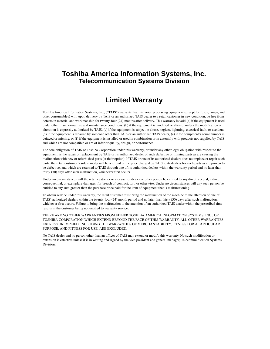### **Toshiba America Information Systems, Inc. Telecommunication Systems Division**

### **Limited Warranty**

Toshiba America Information Systems, Inc., ("TAIS") warrants that this voice processing equipment (except for fuses, lamps, and other consumables) will, upon delivery by TAIS or an authorized TAIS dealer to a retail customer in new condition, be free from defects in material and workmanship for twenty-four (24) months after delivery. This warranty is void (a) if the equipment is used under other than normal use and maintenance conditions, (b) if the equipment is modified or altered, unless the modification or alteration is expressly authorized by TAIS, (c) if the equipment is subject to abuse, neglect, lightning, electrical fault, or accident, (d) if the equipment is repaired by someone other than TAIS or an authorized TAIS dealer, (e) if the equipment's serial number is defaced or missing, or (f) if the equipment is installed or used in combination or in assembly with products not supplied by TAIS and which are not compatible or are of inferior quality, design, or performance.

The sole obligation of TAIS or Toshiba Corporation under this warranty, or under any other legal obligation with respect to the equipment, is the repair or replacement by TAIS or its authorized dealer of such defective or missing parts as are causing the malfunction with new or refurbished parts (at their option). If TAIS or one of its authorized dealers does not replace or repair such parts, the retail customer's sole remedy will be a refund of the price charged by TAIS to its dealers for such parts as are proven to be defective, and which are returned to TAIS through one of its authorized dealers within the warranty period and no later than thirty (30) days after such malfunction, whichever first occurs.

Under no circumstances will the retail customer or any user or dealer or other person be entitled to any direct, special, indirect, consequential, or exemplary damages, for breach of contract, tort, or otherwise. Under no circumstances will any such person be entitled to any sum greater than the purchase price paid for the item of equipment that is malfunctioning.

To obtain service under this warranty, the retail customer must bring the malfunction of the machine to the attention of one of TAIS' authorized dealers within the twenty-four (24) month period and no later than thirty (30) days after such malfunction, whichever first occurs. Failure to bring the malfunction to the attention of an authorized TAIS dealer within the prescribed time results in the customer being not entitled to warranty service.

THERE ARE NO OTHER WARRANTIES FROM EITHER TOSHIBA AMERICA INFORMATION SYSTEMS, INC., OR TOSHIBA CORPORATION WHICH EXTEND BEYOND THE FACE OF THIS WARRANTY. ALL OTHER WARRANTIES, EXPRESS OR IMPLIED, INCLUDING THE WARRANTIES OF MERCHANTABILITY, FITNESS FOR A PARTICULAR PURPOSE, AND FITNESS FOR USE, ARE EXCLUDED.

No TAIS dealer and no person other than an officer of TAIS may extend or modify this warranty. No such modification or extension is effective unless it is in writing and signed by the vice president and general manager, Telecommunication Systems Division.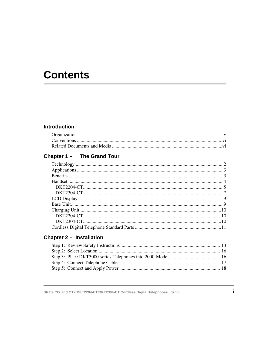# **Contents**

#### **Introduction**

### Chapter 1 - The Grand Tour

### Chapter 2 - Installation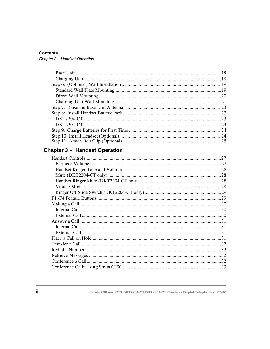Chapter 3 - Handset Operation

### **Chapter 3 - Handset Operation**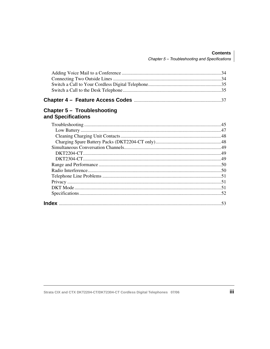#### 

### Chapter 5 - Troubleshooting and Specifications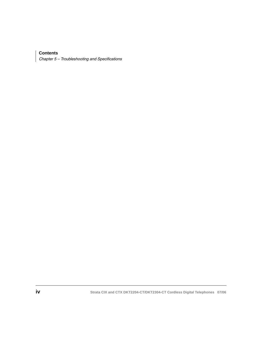#### **Contents**

Chapter 5 – Troubleshooting and Specifications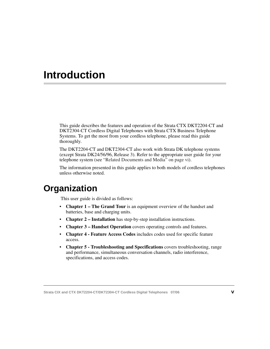# <span id="page-8-0"></span>**Introduction**

This guide describes the features and operation of the Strata CTX DKT2204-CT and DKT2304-CT Cordless Digital Telephones with Strata CTX Business Telephone Systems. To get the most from your cordless telephone, please read this guide thoroughly.

The DKT2204-CT and DKT2304-CT also work with Strata DK telephone systems (except Strata DK24/56/96, Release 3). Refer to the appropriate user guide for your telephone system (see ["Related Documents and Media" on page vi](#page-9-1)).

The information presented in this guide applies to both models of cordless telephones unless otherwise noted.

### <span id="page-8-1"></span>**Organization**

This user guide is divided as follows:

- **Chapter 1 The Grand Tour** is an equipment overview of the handset and batteries, base and charging units.
- **Chapter 2 Installation** has step-by-step installation instructions.
- **Chapter 3 Handset Operation** covers operating controls and features.
- **Chapter 4 Feature Access Codes** includes codes used for specific feature access.
- **Chapter 5 Troubleshooting and Specifications** covers troubleshooting, range and performance, simultaneous conversation channels, radio interference, specifications, and access codes.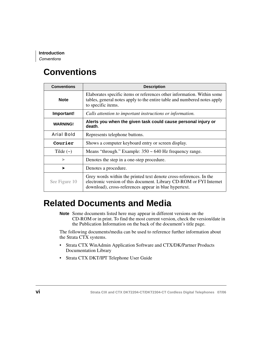# <span id="page-9-0"></span>**Conventions**

| <b>Conventions</b>                        | <b>Description</b>                                                                                                                                                                                 |  |
|-------------------------------------------|----------------------------------------------------------------------------------------------------------------------------------------------------------------------------------------------------|--|
| <b>Note</b>                               | Elaborates specific items or references other information. Within some<br>tables, general notes apply to the entire table and numbered notes apply<br>to specific items.                           |  |
| Important!                                | Calls attention to important instructions or information.                                                                                                                                          |  |
| <b>WARNING!</b>                           | Alerts you when the given task could cause personal injury or<br>death.                                                                                                                            |  |
| <b>Arial Bold</b>                         | Represents telephone buttons.                                                                                                                                                                      |  |
| Courier                                   | Shows a computer keyboard entry or screen display.                                                                                                                                                 |  |
| Tilde $(\sim)$                            | Means "through." Example: $350 \sim 640$ Hz frequency range.                                                                                                                                       |  |
| Denotes the step in a one-step procedure. |                                                                                                                                                                                                    |  |
|                                           | Denotes a procedure.                                                                                                                                                                               |  |
| See Figure 10                             | Grey words within the printed text denote cross-references. In the<br>electronic version of this document. Library CD-ROM or FYI Internet<br>download), cross-references appear in blue hypertext. |  |

## <span id="page-9-1"></span>**Related Documents and Media**

**Note** Some documents listed here may appear in different versions on the CD-ROM or in print. To find the most current version, check the version/date in the Publication Information on the back of the document's title page.

The following documents/media can be used to reference further information about the Strata CTX systems.

- Strata CTX WinAdmin Application Software and CTX/DK/Partner Products Documentation Library
- Strata CTX DKT/IPT Telephone User Guide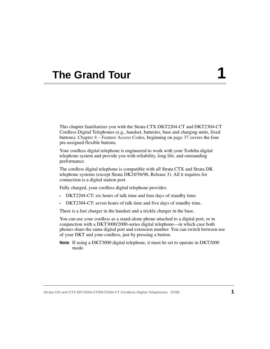<span id="page-10-0"></span>This chapter familiarizes you with the Strata CTX DKT2204-CT and DKT2304-CT Cordless Digital Telephones (e.g., handset, batteries, base and charging units, fixed buttons). [Chapter 4 – Feature Access Codes, beginning on page 37](#page-46-0) covers the four pre-assigned flexible buttons.

Your cordless digital telephone is engineered to work with your Toshiba digital telephone system and provide you with reliability, long life, and outstanding performance.

The cordless digital telephone is compatible with all Strata CTX and Strata DK telephone systems (except Strata DK24/56/96, Release 3). All it requires for connection is a digital station port.

Fully charged, your cordless digital telephone provides:

- **•** DKT2204-CT: six hours of talk time and four days of standby time.
- **•** DKT2304-CT: seven hours of talk time and five days of standby time.

There is a fast charger in the handset and a trickle charger in the base.

You can use your cordless as a stand-alone phone attached to a digital port, or in conjunction with a DKT3000/2000-series digital telephone—in which case both phones share the same digital port and extension number. You can switch between use of your DKT and your cordless, just by pressing a button.

**Note** If using a DKT3000 digital telephone, it must be set to operate in DKT2000 mode.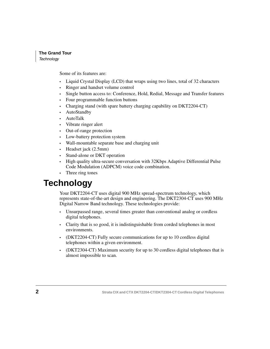<span id="page-11-2"></span>Some of its features are:

- Liquid Crystal Display (LCD) that wraps using two lines, total of 32 characters
- **•** Ringer and handset volume control
- **•** Single button access to: Conference, Hold, Redial, Message and Transfer features
- Four programmable function buttons
- **•** Charging stand (with spare battery charging capability on DKT2204-CT)
- **•** AutoStandby
- **•** AutoTalk
- **•** Vibrate ringer alert
- **•** Out-of-range protection
- **•** Low-battery protection system
- **•** Wall-mountable separate base and charging unit
- **•** Headset jack (2.5mm)
- **•** Stand-alone or DKT operation
- **•** High quality ultra-secure conversation with 32Kbps Adaptive Differential Pulse Code Modulation (ADPCM) voice code combination.
- <span id="page-11-1"></span>**•** Three ring tones

# <span id="page-11-0"></span>**Technology**

<span id="page-11-4"></span><span id="page-11-3"></span>Your DKT2204-CT uses digital 900 MHz spread-spectrum technology, which represents state-of-the-art design and engineering. The DKT2304-CT uses 900 MHz Digital Narrow Band technology. These technologies provide:

- **•** Unsurpassed range, several times greater than conventional analog or cordless digital telephones.
- **•** Clarity that is so good, it is indistinguishable from corded telephones in most environments.
- **•** (DKT2204-CT) Fully secure communications for up to 10 cordless digital telephones within a given environment.
- **•** (DKT2304-CT) Maximum security for up to 30 cordless digital telephones that is almost impossible to scan.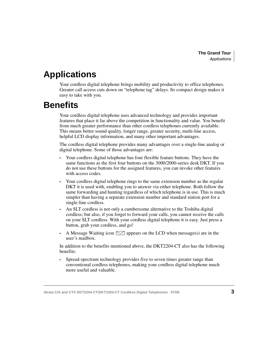# <span id="page-12-2"></span><span id="page-12-0"></span>**Applications**

<span id="page-12-3"></span>Your cordless digital telephone brings mobility and productivity to office telephones. Greater call access cuts down on "telephone tag" delays. Its compact design makes it easy to take with you.

## <span id="page-12-1"></span>**Benefits**

Your cordless digital telephone uses advanced technology and provides important features that place it far above the competition in functionality and value. You benefit from much greater performance than other cordless telephones currently available. This means better sound quality, longer range, greater security, multi-line access, helpful LCD display information, and many other important advantages.

The cordless digital telephone provides many advantages over a single-line analog or digital telephone. Some of those advantages are:

- **•** Your cordless digital telephone has four flexible feature buttons. They have the same functions as the first four buttons on the 3000/2000-series desk DKT. If you do not use these buttons for the assigned features, you can invoke other features with access codes.
- **•** Your cordless digital telephone rings to the same extension number as the regular DKT it is used with, enabling you to answer via either telephone. Both follow the same forwarding and hunting regardless of which telephone is in use. This is much simpler than having a separate extension number and standard station port for a single-line cordless.
- **•** An SLT cordless is not only a cumbersome alternative to the Toshiba digital cordless; but also, if you forget to forward your calls, you cannot receive the calls on your SLT cordless. With your cordless digital telephone it is easy. Just press a button, grab your cordless, and go!
- <span id="page-12-4"></span>• A Message Waiting icon  $\leq$  appears on the LCD when message(s) are in the user's mailbox.

In addition to the benefits mentioned above, the DKT2204-CT also has the following benefits:

**•** Spread-spectrum technology provides five to seven times greater range than conventional cordless telephones, making your cordless digital telephone much more useful and valuable.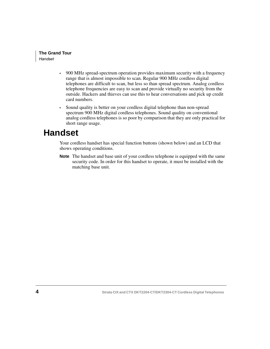- **•** 900 MHz spread-spectrum operation provides maximum security with a frequency range that is almost impossible to scan. Regular 900 MHz cordless digital telephones are difficult to scan, but less so than spread spectrum. Analog cordless telephone frequencies are easy to scan and provide virtually no security from the outside. Hackers and thieves can use this to hear conversations and pick up credit card numbers.
- <span id="page-13-1"></span>**•** Sound quality is better on your cordless digital telephone than non-spread spectrum 900 MHz digital cordless telephones. Sound quality on conventional analog cordless telephones is so poor by comparison that they are only practical for short range usage.

### <span id="page-13-0"></span>**Handset**

Your cordless handset has special function buttons (shown below) and an LCD that shows operating conditions.

**Note** The handset and base unit of your cordless telephone is equipped with the same security code. In order for this handset to operate, it must be installed with the matching base unit.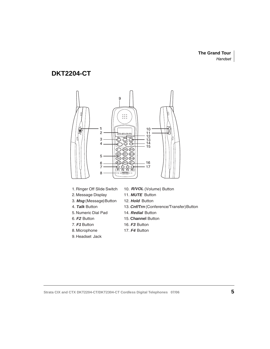### <span id="page-14-0"></span>**DKT2204-CT**



- 1. Ringer Off Slide Switch
- 2. Message Display
- 3. Msg (Message) Button
- 4. **Talk** Button
- 5. Numeric Dial Pad
- 6. **F2** Button
- 7. **F1** Button
- 8. Microphone
- 9. Headset Jack
- 10. R/VOL (Volume) Button
- 11. **MUTE** Button
- 12. **Hold** Button
- 13. Cnf/Trn (Conference/Transfer) Button
- 14. **Redial** Button
- 15. **Channel** Button
- 16. **F3** Button
- 17. **F4** Button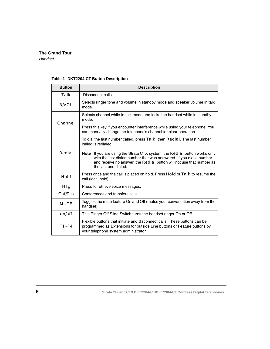<span id="page-15-4"></span><span id="page-15-3"></span><span id="page-15-2"></span><span id="page-15-1"></span>

| <b>Button</b>                                                                                          | <b>Description</b>                                                                                                                                                                                                                                             |  |
|--------------------------------------------------------------------------------------------------------|----------------------------------------------------------------------------------------------------------------------------------------------------------------------------------------------------------------------------------------------------------------|--|
| <b>Talk</b>                                                                                            | Disconnect calls.                                                                                                                                                                                                                                              |  |
| <b>R/VOL</b>                                                                                           | Selects ringer tone and volume in standby mode and speaker volume in talk<br>mode.                                                                                                                                                                             |  |
| Channel                                                                                                | Selects channel while in talk mode and locks the handset while in standby<br>mode.                                                                                                                                                                             |  |
|                                                                                                        | Press this key if you encounter interference while using your telephone. You<br>can manually change the telephone's channel for clear operation.                                                                                                               |  |
|                                                                                                        | To dial the last number called, press Talk, then Redial. The last number<br>called is redialed.                                                                                                                                                                |  |
| Redial                                                                                                 | <b>Note</b> If you are using the Strata CTX system, the <b>Redial</b> button works only<br>with the last dialed number that was answered. If you dial a number<br>and receive no answer, the Redial button will not use that number as<br>the last one dialed. |  |
| Hold                                                                                                   | Press once and the call is placed on hold. Press <b>Hold</b> or Talk to resume the<br>call (local hold).                                                                                                                                                       |  |
| Msg                                                                                                    | Press to retrieve voice messages.                                                                                                                                                                                                                              |  |
| Cnf/Trn                                                                                                | Conferences and transfers calls.                                                                                                                                                                                                                               |  |
| Toggles the mute feature On and Off (mutes your conversation away from the<br><b>MUTE</b><br>handset). |                                                                                                                                                                                                                                                                |  |
| on/off                                                                                                 | This Ringer Off Slide Switch turns the handset ringer On or Off.                                                                                                                                                                                               |  |
| $F1 - F4$                                                                                              | Flexible buttons that initiate and disconnect calls. These buttons can be<br>programmed as Extensions for outside Line buttons or Feature buttons by<br>your telephone system administrator.                                                                   |  |

#### <span id="page-15-0"></span>**Table 1 DKT2204-CT Button Description**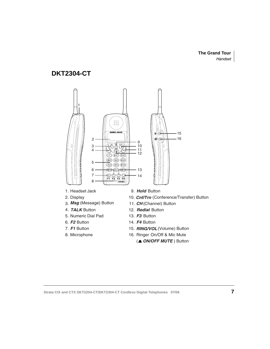### <span id="page-16-0"></span>**DKT2304-CT**



- 1. Headset Jack
- 2. Display
- 3. **Msg** (Message) Button
- 4. **TALK** Button
- 5. Numeric Dial Pad
- 6. **F2** Button
- 7. **F1** Button
- 8. Microphone
- 9. **Hold** Button
- 10. Cnf/Trn (Conference/Transfer) Button

15 16

- 11. CH (Channel) Button
- 12. **Redial** Button
- 13. **F3** Button
- 14. **F4** Button
- 15. RING/VOL (Volume) Button
- 16. Ringer On/Off & Mic Mute
	- ( **ON/OFF MUTE** ) Button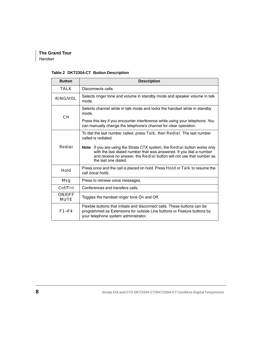<span id="page-17-3"></span><span id="page-17-2"></span><span id="page-17-1"></span><span id="page-17-0"></span>

| <b>Button</b>                | <b>Description</b>                                                                                                                                                                                                                                             |  |
|------------------------------|----------------------------------------------------------------------------------------------------------------------------------------------------------------------------------------------------------------------------------------------------------------|--|
| <b>TALK</b>                  | Disconnects calls.                                                                                                                                                                                                                                             |  |
| <b>RING/VOL</b>              | Selects ringer tone and volume in standby mode and speaker volume in talk<br>mode.                                                                                                                                                                             |  |
| <b>CH</b>                    | Selects channel while in talk mode and locks the handset while in standby<br>mode.                                                                                                                                                                             |  |
|                              | Press this key if you encounter interference while using your telephone. You<br>can manually change the telephone's channel for clear operation.                                                                                                               |  |
|                              | To dial the last number called, press Talk, then Redial. The last number<br>called is redialed.                                                                                                                                                                |  |
| Redial                       | <b>Note</b> If you are using the Strata CTX system, the <b>Redial</b> button works only<br>with the last dialed number that was answered. If you dial a number<br>and receive no answer, the Redial button will not use that number as<br>the last one dialed. |  |
| Hold                         | Press once and the call is placed on hold. Press <b>Hold</b> or Talk to resume the<br>call (local hold).                                                                                                                                                       |  |
| Msg                          | Press to retrieve voice messages.                                                                                                                                                                                                                              |  |
| Cnf/Trn                      | Conferences and transfers calls.                                                                                                                                                                                                                               |  |
| <b>ON/OFF</b><br><b>MUTE</b> | Toggles the handset ringer tone On and Off.                                                                                                                                                                                                                    |  |
| $F1 - F4$                    | Flexible buttons that initiate and disconnect calls. These buttons can be<br>programmed as Extensions for outside Line buttons or Feature buttons by<br>your telephone system administrator.                                                                   |  |

#### **Table 2 DKT2304-CT Button Description**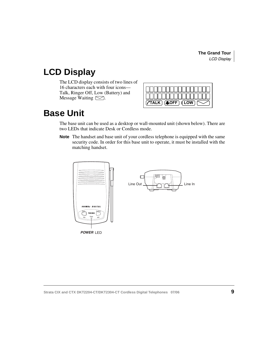# <span id="page-18-0"></span>**LCD Display**

<span id="page-18-4"></span><span id="page-18-3"></span>The LCD display consists of two lines of 16 characters each with four icons— Talk, Ringer Off, Low (Battery) and Message Waiting  $\leq$ .

## <span id="page-18-2"></span><span id="page-18-1"></span>**Base Unit**

The base unit can be used as a desktop or wall-mounted unit (shown below). There are two LEDs that indicate Desk or Cordless mode.

**Note** The handset and base unit of your cordless telephone is equipped with the same security code. In order for this base unit to operate, it must be installed with the matching handset.

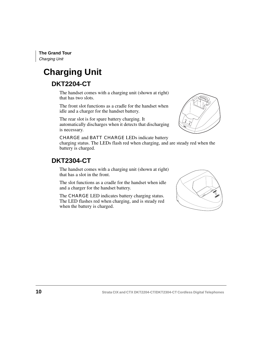# <span id="page-19-1"></span><span id="page-19-0"></span>**Charging Unit DKT2204-CT**

<span id="page-19-3"></span>The handset comes with a charging unit (shown at right) that has two slots.

The front slot functions as a cradle for the handset when idle and a charger for the handset battery.

The rear slot is for spare battery charging. It automatically discharges when it detects that discharging is necessary.



#### CHARGE and BATT CHARGE LEDs indicate battery

charging status. The LEDs flash red when charging, and are steady red when the battery is charged.

### <span id="page-19-2"></span>**DKT2304-CT**

The handset comes with a charging unit (shown at right) that has a slot in the front.

The slot functions as a cradle for the handset when idle and a charger for the handset battery.

The **CHARGE** LED indicates battery charging status. The LED flashes red when charging, and is steady red when the battery is charged.

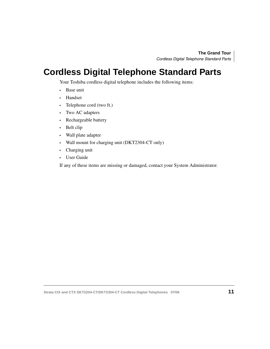## <span id="page-20-0"></span>**Cordless Digital Telephone Standard Parts**

<span id="page-20-1"></span>Your Toshiba cordless digital telephone includes the following items:

- **•** Base unit
- **•** Handset
- **•** Telephone cord (two ft.)
- **•** Two AC adapters
- **•** Rechargeable battery
- **•** Belt clip
- **•** Wall plate adapter
- **•** Wall mount for charging unit (DKT2304-CT only)
- **•** Charging unit
- **•** User Guide

If any of these items are missing or damaged, contact your System Administrator.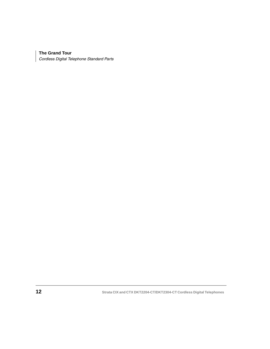#### **The Grand Tour**

Cordless Digital Telephone Standard Parts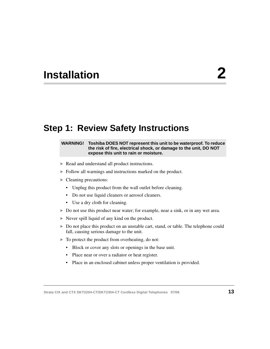# <span id="page-22-0"></span>**Installation 2**

## <span id="page-22-1"></span>**Step 1: Review Safety Instructions**

#### <span id="page-22-2"></span>**WARNING! Toshiba DOES NOT represent this unit to be waterproof. To reduce the risk of fire, electrical shock, or damage to the unit, DO NOT expose this unit to rain or moisture.**

- ➤ Read and understand all product instructions.
- ➤ Follow all warnings and instructions marked on the product.
- ➤ Cleaning precautions:
	- Unplug this product from the wall outlet before cleaning.
	- Do not use liquid cleaners or aerosol cleaners.
	- Use a dry cloth for cleaning.
- ➤ Do not use this product near water; for example, near a sink, or in any wet area.
- ► Never spill liquid of any kind on the product.
- ► Do not place this product on an unstable cart, stand, or table. The telephone could fall, causing serious damage to the unit.
- ► To protect the product from overheating, do not:
	- Block or cover any slots or openings in the base unit.
	- Place near or over a radiator or heat register.
	- Place in an enclosed cabinet unless proper ventilation is provided.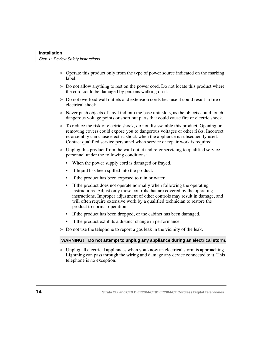Step 1: Review Safety Instructions

- ➤ Operate this product only from the type of power source indicated on the marking label.
- $\triangleright$  Do not allow anything to rest on the power cord. Do not locate this product where the cord could be damaged by persons walking on it.
- ➤ Do not overload wall outlets and extension cords because it could result in fire or electrical shock.
- $\triangleright$  Never push objects of any kind into the base unit slots, as the objects could touch dangerous voltage points or short out parts that could cause fire or electric shock.
- ➤ To reduce the risk of electric shock, do not disassemble this product. Opening or removing covers could expose you to dangerous voltages or other risks. Incorrect re-assembly can cause electric shock when the appliance is subsequently used. Contact qualified service personnel when service or repair work is required.
- $\triangleright$  Unplug this product from the wall outlet and refer servicing to qualified service personnel under the following conditions:
	- When the power supply cord is damaged or frayed.
	- If liquid has been spilled into the product.
	- If the product has been exposed to rain or water.
	- If the product does not operate normally when following the operating instructions. Adjust only those controls that are covered by the operating instructions. Improper adjustment of other controls may result in damage, and will often require extensive work by a qualified technician to restore the product to normal operation.
	- If the product has been dropped, or the cabinet has been damaged.
	- If the product exhibits a distinct change in performance.
- $\triangleright$  Do not use the telephone to report a gas leak in the vicinity of the leak.

#### **WARNING! Do not attempt to unplug any appliance during an electrical storm.**

 $\triangleright$  Unplug all electrical appliances when you know an electrical storm is approaching. Lightning can pass through the wiring and damage any device connected to it. This telephone is no exception.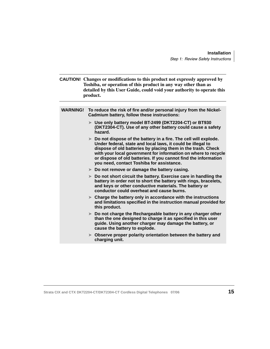**CAUTION! Changes or modifications to this product not expressly approved by Toshiba, or operation of this product in any way other than as detailed by this User Guide, could void your authority to operate this product.**

**WARNING! To reduce the risk of fire and/or personal injury from the Nickel-Cadmium battery, follow these instructions:**

- <span id="page-24-1"></span><span id="page-24-0"></span>➤ **Use only battery model BT-2499 (DKT2204-CT) or BT930 (DKT2304-CT). Use of any other battery could cause a safety hazard.**
- ➤ **Do not dispose of the battery in a fire. The cell will explode. Under federal, state and local laws, it could be illegal to dispose of old batteries by placing them in the trash. Check with your local government for information on where to recycle or dispose of old batteries. If you cannot find the information you need, contact Toshiba for assistance.**
- ➤ **Do not remove or damage the battery casing.**
- ➤ **Do not short circuit the battery. Exercise care in handling the battery in order not to short the battery with rings, bracelets, and keys or other conductive materials. The battery or conductor could overheat and cause burns.**
- ➤ **Charge the battery only in accordance with the instructions and limitations specified in the instruction manual provided for this product.**
- ➤ **Do not charge the Rechargeable battery in any charger other than the one designed to charge it as specified in this user guide. Using another charger may damage the battery, or cause the battery to explode.**
- ➤ **Observe proper polarity orientation between the battery and charging unit.**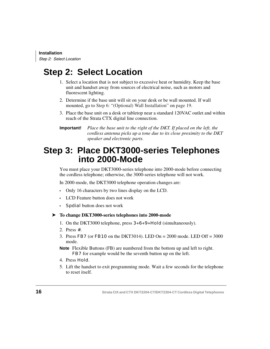# <span id="page-25-0"></span>**Step 2: Select Location**

- <span id="page-25-2"></span>1. Select a location that is not subject to excessive heat or humidity. Keep the base unit and handset away from sources of electrical noise, such as motors and fluorescent lighting.
- 2. Determine if the base unit will sit on your desk or be wall mounted. If wall mounted, go to [Step 6: "\(Optional\) Wall Installation"](#page-28-0) on [page 19.](#page-28-0)
- 3. Place the base unit on a desk or tabletop near a standard 120VAC outlet and within reach of the Strata CTX digital line connection.

## <span id="page-25-1"></span>**Step 3: Place DKT3000-series Telephones into 2000-Mode**

You must place your DKT3000-series telephone into 2000-mode before connecting the cordless telephone; otherwise, the 3000-series telephone will not work.

In 2000-mode, the DKT3000 telephone operation changes are:

- **•** Only 16 characters by two lines display on the LCD.
- **•** LCD Feature button does not work
- **Spdial** button does not work
- ➤ **To change DKT3000-series telephones into 2000-mode**
	- 1. On the DKT3000 telephone, press 3+6+9+Hold (simultaneously).
	- 2. Press #.
	- 3. Press FB7 (or FB10 on the DKT3014). LED On = 2000 mode. LED Off = 3000 mode.

**Note** Flexible Buttons (FB) are numbered from the bottom up and left to right. **FB7** for example would be the seventh button up on the left.

- 4. Press Hold.
- 5. Lift the handset to exit programming mode. Wait a few seconds for the telephone to reset itself.

**Important!** *Place the base unit to the right of the DKT. If placed on the left, the cordless antenna picks up a tone due to its close proximity to the DKT speaker and electronic parts.*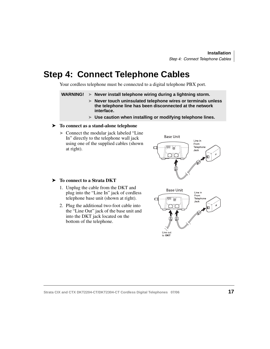# <span id="page-26-0"></span>**Step 4: Connect Telephone Cables**

Your cordless telephone must be connected to a digital telephone PBX port.

#### **WARNING!** ➤ **Never install telephone wiring during a lightning storm.**

- <span id="page-26-1"></span>➤ **Never touch uninsulated telephone wires or terminals unless the telephone line has been disconnected at the network interface.**
- ➤ **Use caution when installing or modifying telephone lines.**

#### ➤ **To connect as a stand-alone telephone**

➤ Connect the modular jack labeled "Line In" directly to the telephone wall jack using one of the supplied cables (shown at right).



Line out to DKT

#### ➤ **To connect to a Strata DKT**

- 1. Unplug the cable from the DKT and plug into the "Line In" jack of cordless telephone base unit (shown at right).
- 2. Plug the additional two-foot cable into the "Line Out" jack of the base unit and into the DKT jack located on the bottom of the telephone.

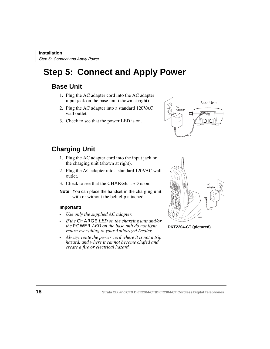Step 5: Connect and Apply Power

# <span id="page-27-0"></span>**Step 5: Connect and Apply Power**

<span id="page-27-4"></span><span id="page-27-1"></span>**Base Unit**

- <span id="page-27-6"></span>1. Plug the AC adapter cord into the AC adapter input jack on the base unit (shown at right).
- 2. Plug the AC adapter into a standard 120VAC wall outlet.
- 3. Check to see that the power LED is on.



### <span id="page-27-5"></span><span id="page-27-2"></span>**Charging Unit**

- 1. Plug the AC adapter cord into the input jack on the charging unit (shown at right).
- 2. Plug the AC adapter into a standard 120VAC wall outlet.
- 3. Check to see that the CHARGE LED is on.
- **Note** You can place the handset in the charging unit with or without the belt clip attached.

#### <span id="page-27-3"></span>**Important!**

- **•** *Use only the supplied AC adapter.*
- **•** *If the CHARGE LED on the charging unit and/or the POWER LED on the base unit do not light, return everything to your Authorized Dealer.*
- **•** *Always route the power cord where it is not a trip hazard, and where it cannot become chafed and create a fire or electrical hazard.*



**DKT2204-CT (pictured)**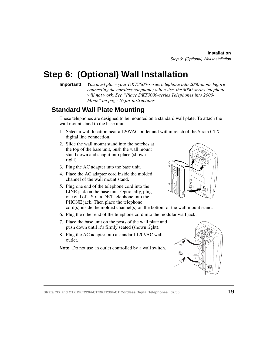# <span id="page-28-0"></span>**Step 6: (Optional) Wall Installation**

<span id="page-28-2"></span>**Important!** *You must place your DKT3000-series telephone into 2000-mode before connecting the cordless telephone; otherwise, the 3000-series telephone will not work. See ["Place DKT3000-series Telephones into 2000-](#page-25-1) [Mode" on page 16](#page-25-1) for instructions.*

### <span id="page-28-1"></span>**Standard Wall Plate Mounting**

These telephones are designed to be mounted on a standard wall plate. To attach the wall mount stand to the base unit:

- 1. Select a wall location near a 120VAC outlet and within reach of the Strata CTX digital line connection.
- 2. Slide the wall mount stand into the notches at the top of the base unit, push the wall mount stand down and snap it into place (shown right).
- 3. Plug the AC adapter into the base unit.
- 4. Place the AC adapter cord inside the molded channel of the wall mount stand.
- 5. Plug one end of the telephone cord into the LINE jack on the base unit. Optionally, plug one end of a Strata DKT telephone into the PHONE jack. Then place the telephone cord(s) inside the molded channel(s) on the bottom of the wall mount stand.

6. Plug the other end of the telephone cord into the modular wall jack.

- 7. Place the base unit on the posts of the wall plate and push down until it's firmly seated (shown right).
- 8. Plug the AC adapter into a standard 120VAC wall outlet.

**Note** Do not use an outlet controlled by a wall switch.



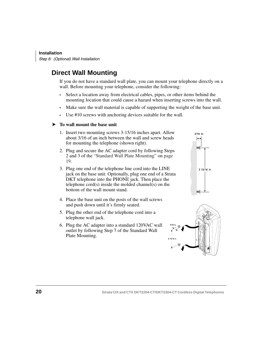### <span id="page-29-1"></span><span id="page-29-0"></span>**Direct Wall Mounting**

If you do not have a standard wall plate, you can mount your telephone directly on a wall. Before mounting your telephone, consider the following:

- **•** Select a location away from electrical cables, pipes, or other items behind the mounting location that could cause a hazard when inserting screws into the wall.
- **•** Make sure the wall material is capable of supporting the weight of the base unit.
- **•** Use #10 screws with anchoring devices suitable for the wall.
- ➤ **To wall mount the base unit**
	- 1. Insert two mounting screws 3-15/16 inches apart. Allow about 3/16 of an inch between the wall and screw heads for mounting the telephone (shown right).
	- 2. Plug and secure the AC adapter cord by following Steps 2 and 3 of the ["Standard Wall Plate Mounting" on page](#page-28-1)  [19](#page-28-1).
	- 3. Plug one end of the telephone line cord into the LINE jack on the base unit. Optionally, plug one end of a Strata DKT telephone into the PHONE jack. Then place the telephone cord(s) inside the molded channel(s) on the bottom of the wall mount stand.
	- 4. Place the base unit on the posts of the wall screws and push down until it's firmly seated.
	- 5. Plug the other end of the telephone cord into a telephone wall jack.
	- 6. Plug the AC adapter into a standard 120VAC wall outlet by following Step 7 of the Standard Wall Plate Mounting.



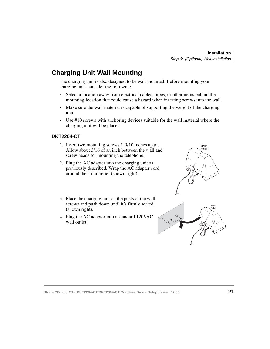### <span id="page-30-1"></span><span id="page-30-0"></span>**Charging Unit Wall Mounting**

The charging unit is also designed to be wall mounted. Before mounting your charging unit, consider the following:

- **•** Select a location away from electrical cables, pipes, or other items behind the mounting location that could cause a hazard when inserting screws into the wall.
- **•** Make sure the wall material is capable of supporting the weight of the charging unit.
- **•** Use #10 screws with anchoring devices suitable for the wall material where the charging unit will be placed.

#### **DKT2204-CT**

- 1. Insert two mounting screws 1-9/10 inches apart. Allow about 3/16 of an inch between the wall and screw heads for mounting the telephone.
- 2. Plug the AC adapter into the charging unit as previously described. Wrap the AC adapter cord around the strain relief (shown right).
- 3. Place the charging unit on the posts of the wall screws and push down until it's firmly seated (shown right).
- 4. Plug the AC adapter into a standard 120VAC wall outlet.

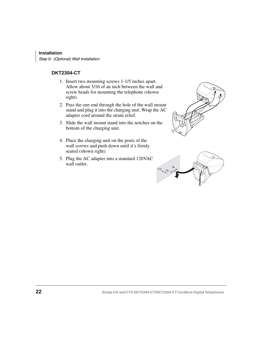### **DKT2304-CT**

- 1. Insert two mounting screws 1-1/5 inches apart. Allow about 3/16 of an inch between the wall and screw heads for mounting the telephone (shown right).
- 2. Pass the one end through the hole of the wall mount stand and plug it into the charging unit. Wrap the AC adapter cord around the strain relief.
- 3. Slide the wall mount stand into the notches on the bottom of the charging unit.
- 4. Place the charging unit on the posts of the wall screws and push down until it's firmly seated (shown right).
- 5. Plug the AC adapter into a standard 120VAC wall outlet.



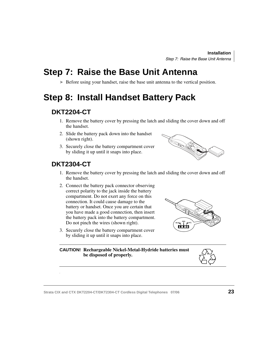# <span id="page-32-0"></span>**Step 7: Raise the Base Unit Antenna**

<span id="page-32-5"></span><span id="page-32-4"></span> $\triangleright$  Before using your handset, raise the base unit antenna to the vertical position.

# <span id="page-32-1"></span>**Step 8: Install Handset Battery Pack**

### <span id="page-32-2"></span>**DKT2204-CT**

- 1. Remove the battery cover by pressing the latch and sliding the cover down and off the handset.
- 2. Slide the battery pack down into the handset (shown right).
- 3. Securely close the battery compartment cover by sliding it up until it snaps into place.

### <span id="page-32-3"></span>**DKT2304-CT**

4.

- 1. Remove the battery cover by pressing the latch and sliding the cover down and off the handset.
- 2. Connect the battery pack connector observing correct polarity to the jack inside the battery compartment. Do not exert any force on this connection. It could cause damage to the battery or handset. Once you are certain that you have made a good connection, then insert the battery pack into the battery compartment. Do not pinch the wires (shown right).
- 3. Securely close the battery compartment cover by sliding it up until it snaps into place.

#### **CAUTION! Rechargeable Nickel-Metal-Hydride batteries must be disposed of properly.**





 $\bullet \bullet \circ$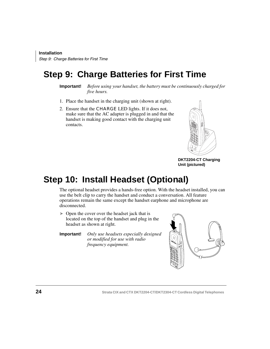# <span id="page-33-0"></span>**Step 9: Charge Batteries for First Time**

<span id="page-33-2"></span>**Important!** *Before using your handset, the battery must be continuously charged for five hours.*

- 1. Place the handset in the charging unit (shown at right).
- 2. Ensure that the CHARGE LED lights. If it does not, make sure that the AC adapter is plugged in and that the handset is making good contact with the charging unit contacts.



**DKT2204-CT Charging Unit (pictured)**

# <span id="page-33-1"></span>**Step 10: Install Headset (Optional)**

<span id="page-33-3"></span>The optional headset provides a hands-free option. With the headset installed, you can use the belt clip to carry the handset and conduct a conversation. All feature operations remain the same except the handset earphone and microphone are disconnected.

- ➤ Open the cover over the headset jack that is located on the top of the handset and plug in the headset as shown at right.
- **Important!** *Only use headsets especially designed or modified for use with radio frequency equipment.*

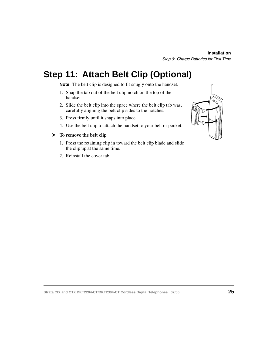# <span id="page-34-0"></span>**Step 11: Attach Belt Clip (Optional)**

<span id="page-34-1"></span>**Note** The belt clip is designed to fit snugly onto the handset.

- 1. Snap the tab out of the belt clip notch on the top of the handset.
- 2. Slide the belt clip into the space where the belt clip tab was, carefully aligning the belt clip sides to the notches.
- 3. Press firmly until it snaps into place.
- 4. Use the belt clip to attach the handset to your belt or pocket.



- 1. Press the retaining clip in toward the belt clip blade and slide the clip up at the same time.
- 2. Reinstall the cover tab.

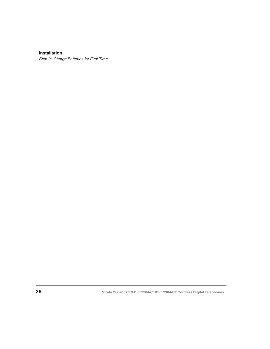#### **Installation**

Step 9: Charge Batteries for First Time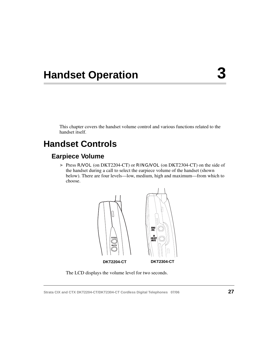<span id="page-36-4"></span><span id="page-36-3"></span><span id="page-36-0"></span>This chapter covers the handset volume control and various functions related to the handset itself.

# <span id="page-36-1"></span>**Handset Controls**

### <span id="page-36-5"></span><span id="page-36-2"></span>**Earpiece Volume**

► Press R/VOL (on DKT2204-CT) or RING/VOL (on DKT2304-CT) on the side of the handset during a call to select the earpiece volume of the handset (shown below). There are four levels—low, medium, high and maximum—from which to choose.



The LCD displays the volume level for two seconds.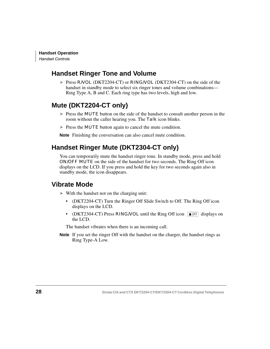### <span id="page-37-6"></span><span id="page-37-0"></span>**Handset Ringer Tone and Volume**

► Press R/VOL (DKT2204-CT) or RING/VOL (DKT2304-CT) on the side of the handset in standby mode to select six ringer tones and volume combinations— Ring Type A, B and C. Each ring type has two levels, high and low.

### <span id="page-37-4"></span><span id="page-37-1"></span>**Mute (DKT2204-CT only)**

- ► Press the MUTE button on the side of the handset to consult another person in the room without the caller hearing you. The Talk icon blinks.
- ► Press the MUTE button again to cancel the mute condition.

<span id="page-37-5"></span>**Note** Finishing the conversation can also cancel mute condition.

### <span id="page-37-2"></span>**Handset Ringer Mute (DKT2304-CT only)**

You can temporarily mute the handset ringer tone. In standby mode, press and hold ON/OFF MUTE on the side of the handset for two seconds. The Ring Off icon displays on the LCD. If you press and hold the key for two seconds again also in standby mode, the icon disappears.

### <span id="page-37-7"></span><span id="page-37-3"></span>**Vibrate Mode**

- ➤ With the handset not on the charging unit:
	- (DKT2204-CT) Turn the Ringer Off Slide Switch to Off. The Ring Off icon displays on the LCD.
	- (DKT2304-CT) Press **RING/VOL** until the Ring Off icon  $\left( \right)$  displays on the LCD.

The handset vibrates when there is an incoming call.

**Note** If you set the ringer Off with the handset on the charger, the handset rings as Ring Type-A Low.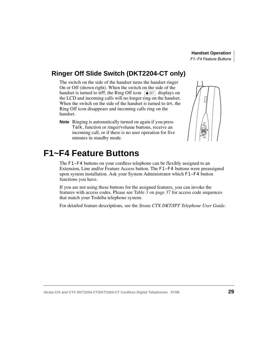### <span id="page-38-4"></span><span id="page-38-0"></span>**Ringer Off Slide Switch (DKT2204-CT only)**

The switch on the side of the handset turns the handset ringer On or Off (shown right). When the switch on the side of the handset is turned to **off**, the Ring Off icon  $[40f]$  displays on the LCD and incoming calls will no longer ring on the handset. When the switch on the side of the handset is turned to **on**, the Ring Off icon disappears and incoming calls ring on the handset.

**Note** Ringing is automatically turned on again if you press Talk, function or ringer/volume buttons, receive an incoming call, or if there is no user operation for five minutes in standby mode.

## <span id="page-38-5"></span><span id="page-38-1"></span>**F1~F4 Feature Buttons**

<span id="page-38-2"></span>The F1~F4 buttons on your cordless telephone can be flexibly assigned to an Extension, Line and/or Feature Access button. The F1~F4 buttons were preassigned upon system installation. Ask your System Administrator which  $F1 \sim F4$  button functions you have.

<span id="page-38-3"></span>If you are not using these buttons for the assigned features, you can invoke the features with access codes. Please see [Table 3 on page 37](#page-46-1) for access code sequences that match your Toshiba telephone system.

For detailed feature descriptions, see the *Strata CTX DKT/IPT Telephone User Guide*.

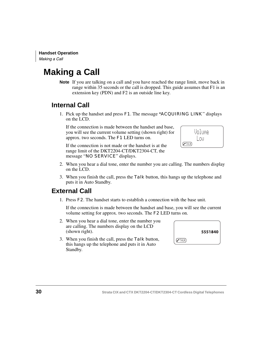Making a Call

# <span id="page-39-3"></span><span id="page-39-0"></span>**Making a Call**

**Note** If you are talking on a call and you have reached the range limit, move back in range within 35 seconds or the call is dropped. This guide assumes that F1 is an extension key (PDN) and F2 is an outside line key.

### <span id="page-39-1"></span>**Internal Call**

1. Pick up the handset and press F1. The message **"**ACQUIRING LINK" displays on the LCD.

If the connection is made between the handset and base, you will see the current volume setting (shown right) for approx. two seconds. The F1 LED turns on.



If the connection is not made or the handset is at the range limit of the DKT2204-CT/DKT2304-CT, the message "NO SERVICE" displays.

- 2. When you hear a dial tone, enter the number you are calling. The numbers display on the LCD.
- 3. When you finish the call, press the Talk button, this hangs up the telephone and puts it in Auto Standby.

### <span id="page-39-2"></span>**External Call**

1. Press F2. The handset starts to establish a connection with the base unit.

If the connection is made between the handset and base, you will see the current volume setting for approx. two seconds. The F2 LED turns on.

- 2. When you hear a dial tone, enter the number you are calling. The numbers display on the LCD (shown right).
- 3. When you finish the call, press the Talk button, this hangs up the telephone and puts it in Auto Standby.

|                          | 5551840 |
|--------------------------|---------|
| $\overline{\text{TALK}}$ |         |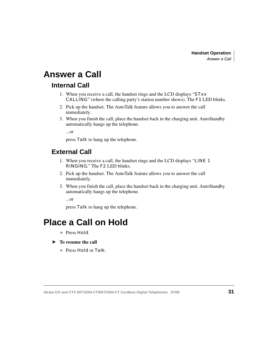# <span id="page-40-4"></span><span id="page-40-0"></span>**Answer a Call**

### <span id="page-40-1"></span>**Internal Call**

- 1. When you receive a call, the handset rings and the LCD displays "STxx" CALLING" (where the calling party's station number shows). The F1 LED blinks.
- 2. Pick up the handset. The AutoTalk feature allows you to answer the call immediately.
- 3. When you finish the call, place the handset back in the charging unit. AutoStandby automatically hangs up the telephone.

...or

press Talk to hang up the telephone.

### <span id="page-40-2"></span>**External Call**

- 1. When you receive a call, the handset rings and the LCD displays "LINE 1 RINGING." The F2 LED blinks.
- 2. Pick up the handset. The AutoTalk feature allows you to answer the call immediately.
- 3. When you finish the call, place the handset back in the charging unit. AutoStandby automatically hangs up the telephone.

...or

<span id="page-40-5"></span>press Talk to hang up the telephone.

# <span id="page-40-3"></span>**Place a Call on Hold**

- ➤ Press Hold.
- ➤ **To resume the call**
	- ▶ Press Hold or Talk.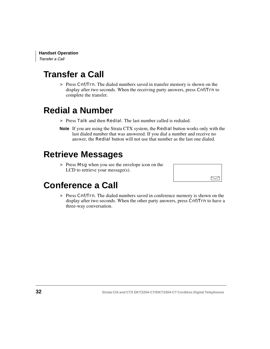# <span id="page-41-7"></span><span id="page-41-0"></span>**Transfer a Call**

► Press Cnf/Trn. The dialed numbers saved in transfer memory is shown on the display after two seconds. When the receiving party answers, press **Cnf/Trn** to complete the transfer.

# <span id="page-41-6"></span><span id="page-41-1"></span>**Redial a Number**

- $\triangleright$  Press Talk and then **Redial**. The last number called is redialed.
- <span id="page-41-5"></span>**Note** If you are using the Strata CTX system, the Redial button works only with the last dialed number that was answered. If you dial a number and receive no answer, the Redial button will not use that number as the last one dialed.

# <span id="page-41-2"></span>**Retrieve Messages**

<span id="page-41-4"></span>► Press Msq when you see the envelope icon on the LCD to retrieve your message(s).

## <span id="page-41-3"></span>**Conference a Call**

► Press Cnf/Trn. The dialed numbers saved in conference memory is shown on the display after two seconds. When the other party answers, press **Cnf/Trn** to have a three-way conversation.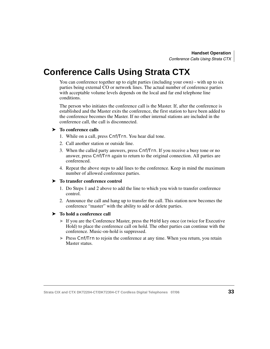## <span id="page-42-2"></span><span id="page-42-0"></span>**Conference Calls Using Strata CTX**

<span id="page-42-1"></span>You can conference together up to eight parties (including your own) - with up to six parties being external CO or network lines. The actual number of conference parties with acceptable volume levels depends on the local and far end telephone line conditions.

The person who initiates the conference call is the Master. If, after the conference is established and the Master exits the conference, the first station to have been added to the conference becomes the Master. If no other internal stations are included in the conference call, the call is disconnected.

#### ➤ **To conference calls**

- 1. While on a call, press Cnf/Trn. You hear dial tone.
- 2. Call another station or outside line.
- 3. When the called party answers, press **Cnf/Trn**. If you receive a busy tone or no answer, press Cnf/Trn again to return to the original connection. All parties are conferenced.
- 4. Repeat the above steps to add lines to the conference. Keep in mind the maximum number of allowed conference parties.

#### ➤ **To transfer conference control**

- 1. Do Steps 1 and 2 above to add the line to which you wish to transfer conference control.
- 2. Announce the call and hang up to transfer the call. This station now becomes the conference "master" with the ability to add or delete parties.

#### ➤ **To hold a conference call**

- $\triangleright$  If you are the Conference Master, press the **Hold** key once (or twice for Executive Hold) to place the conference call on hold. The other parties can continue with the conference. Music-on-hold is suppressed.
- $\triangleright$  Press Cnf/Trn to rejoin the conference at any time. When you return, you retain Master status.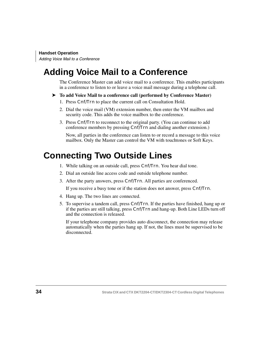# <span id="page-43-2"></span><span id="page-43-0"></span>**Adding Voice Mail to a Conference**

The Conference Master can add voice mail to a conference. This enables participants in a conference to listen to or leave a voice mail message during a telephone call.

- ➤ **To add Voice Mail to a conference call (performed by Conference Master)**
	- 1. Press **Cnf/Trn** to place the current call on Consultation Hold.
	- 2. Dial the voice mail (VM) extension number, then enter the VM mailbox and security code. This adds the voice mailbox to the conference.
	- 3. Press Cnf/Trn to reconnect to the original party. (You can continue to add conference members by pressing **Cnf/Trn** and dialing another extension.)

<span id="page-43-3"></span>Now, all parties in the conference can listen to or record a message to this voice mailbox. Only the Master can control the VM with touchtones or Soft Keys.

# <span id="page-43-1"></span>**Connecting Two Outside Lines**

- 1. While talking on an outside call, press **Cnf/Trn**. You hear dial tone.
- 2. Dial an outside line access code and outside telephone number.
- 3. After the party answers, press Cnf/Trn. All parties are conferenced.

If you receive a busy tone or if the station does not answer, press **Cnf/Trn**.

- 4. Hang up. The two lines are connected.
- 5. To supervise a tandem call, press **Cnf/Trn**. If the parties have finished, hang up or if the parties are still talking, press Cnf/Trn and hang-up. Both Line LEDs turn off and the connection is released.

If your telephone company provides auto disconnect, the connection may release automatically when the parties hang up. If not, the lines must be supervised to be disconnected.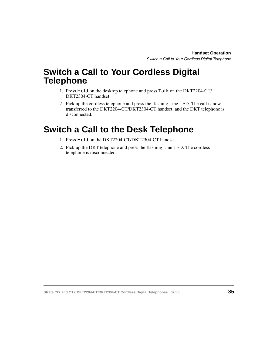## <span id="page-44-0"></span>**Switch a Call to Your Cordless Digital Telephone**

- <span id="page-44-2"></span>1. Press Hold on the desktop telephone and press Talk on the DKT2204-CT/ DKT2304-CT handset.
- 2. Pick up the cordless telephone and press the flashing Line LED. The call is now transferred to the DKT2204-CT/DKT2304-CT handset, and the DKT telephone is disconnected.

# <span id="page-44-1"></span>**Switch a Call to the Desk Telephone**

- 1. Press Hold on the DKT2204-CT/DKT2304-CT handset.
- 2. Pick up the DKT telephone and press the flashing Line LED. The cordless telephone is disconnected.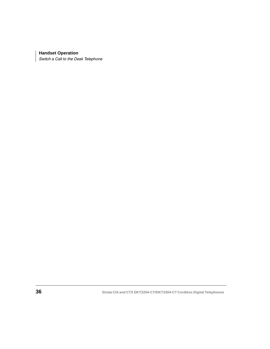#### **Handset Operation**

Switch a Call to the Desk Telephone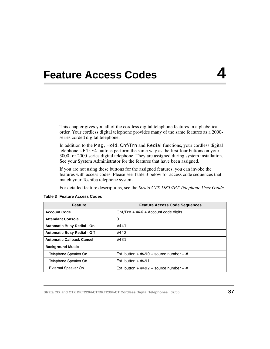<span id="page-46-8"></span><span id="page-46-0"></span>This chapter gives you all of the cordless digital telephone features in alphabetical order. Your cordless digital telephone provides many of the same features as a 2000 series corded digital telephone.

In addition to the Msq, Hold, Cnf/Trn and Redial functions, your cordless digital telephone's F1~F4 buttons perform the same way as the first four buttons on your 3000- or 2000-series digital telephone. They are assigned during system installation. See your System Administrator for the features that have been assigned.

If you are not using these buttons for the assigned features, you can invoke the features with access codes. Please see [Table 3](#page-46-1) below for access code sequences that match your Toshiba telephone system.

<span id="page-46-2"></span>For detailed feature descriptions, see the *Strata CTX DKT/IPT Telephone User Guide*.

<span id="page-46-7"></span><span id="page-46-6"></span><span id="page-46-5"></span><span id="page-46-4"></span><span id="page-46-3"></span>

| <b>Feature</b>                     | <b>Feature Access Code Sequences</b>         |
|------------------------------------|----------------------------------------------|
| <b>Account Code</b>                | <b>Cnf/Trn</b> + $#46$ + Account code digits |
| <b>Attendant Console</b>           | O                                            |
| <b>Automatic Busy Redial - On</b>  | #441                                         |
| <b>Automatic Busy Redial - Off</b> | #442                                         |
| <b>Automatic Callback Cancel</b>   | #431                                         |
| <b>Background Music</b>            |                                              |
| Telephone Speaker On               | Ext. button + $\#490$ + source number + $\#$ |
| Telephone Speaker Off              | Ext. button $+$ #491                         |
| External Speaker On                | Ext. button + $\#492$ + source number + $\#$ |

#### <span id="page-46-1"></span>**Table 3 Feature Access Codes**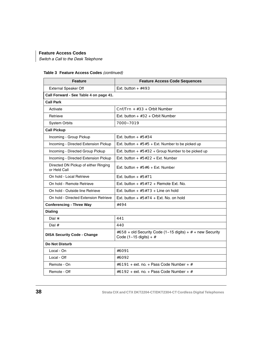Switch a Call to the Desk Telephone

#### **Table 3 Feature Access Codes** (continued)

<span id="page-47-4"></span><span id="page-47-3"></span><span id="page-47-2"></span><span id="page-47-1"></span><span id="page-47-0"></span>

| Feature                                              | <b>Feature Access Code Sequences</b>                                                    |  |  |  |
|------------------------------------------------------|-----------------------------------------------------------------------------------------|--|--|--|
| External Speaker Off                                 | Ext. button $+$ #493                                                                    |  |  |  |
| Call Forward - See Table 4 on page 41.               |                                                                                         |  |  |  |
| <b>Call Park</b>                                     |                                                                                         |  |  |  |
| Activate                                             | $Cn f/Tr n + #33 + Orb$ Number                                                          |  |  |  |
| Retrieve                                             | Ext. button + $#32 +$ Orbit Number                                                      |  |  |  |
| <b>System Orbits</b>                                 | 7000~7019                                                                               |  |  |  |
| <b>Call Pickup</b>                                   |                                                                                         |  |  |  |
| Incoming - Group Pickup                              | Ext. button $+$ #5#34                                                                   |  |  |  |
| Incoming - Directed Extension Pickup                 | Ext. button + $#5#5$ + Ext. Number to be picked up                                      |  |  |  |
| Incoming - Directed Group Pickup                     | Ext. button $+$ #5#32 + Group Number to be picked up                                    |  |  |  |
| Incoming - Directed Extension Pickup                 | Ext. button + $#5#22$ + Ext. Number                                                     |  |  |  |
| Directed DN Pickup of either Ringing<br>or Held Call | Ext. button + $#5#6$ + Ext. Number                                                      |  |  |  |
| On hold - Local Retrieve                             | Ext. button $+$ #5#71                                                                   |  |  |  |
| On hold - Remote Retrieve                            | Ext. button + $#5#72$ + Remote Ext. No.                                                 |  |  |  |
| On hold - Outside line Retrieve                      | Ext. button + $#5#73$ + Line on hold                                                    |  |  |  |
| On hold - Directed Extension Retrieve                | Ext. button + $\#5\#74$ + Ext. No. on hold                                              |  |  |  |
| <b>Conferencing - Three Way</b>                      | #494                                                                                    |  |  |  |
| <b>Dialing</b>                                       |                                                                                         |  |  |  |
| Dial $\star$                                         | 441                                                                                     |  |  |  |
| Dial $#$                                             | 440                                                                                     |  |  |  |
| <b>DISA Security Code - Change</b>                   | #658 + old Security Code (1~15 digits) + # + new Security<br>Code $(1 - 15$ digits) + # |  |  |  |
| <b>Do Not Disturb</b>                                |                                                                                         |  |  |  |
| Local - On                                           | #6091                                                                                   |  |  |  |
| Local - Off                                          | #6092                                                                                   |  |  |  |
| Remote - On                                          | $#6191 + ext.$ no. + Pass Code Number + #                                               |  |  |  |
| Remote - Off                                         | $\#6192 + \text{ext}$ . no. + Pass Code Number + #                                      |  |  |  |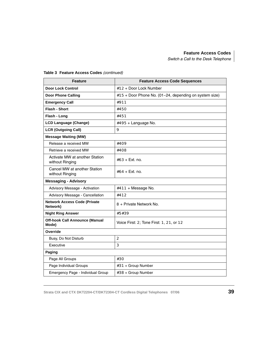| Table 3 Feature Access Codes (continued) |  |
|------------------------------------------|--|
|------------------------------------------|--|

<span id="page-48-12"></span><span id="page-48-11"></span><span id="page-48-10"></span><span id="page-48-9"></span><span id="page-48-8"></span><span id="page-48-7"></span><span id="page-48-6"></span><span id="page-48-5"></span><span id="page-48-4"></span><span id="page-48-3"></span><span id="page-48-2"></span><span id="page-48-1"></span><span id="page-48-0"></span>

| <b>Feature</b>                                    | <b>Feature Access Code Sequences</b>                   |
|---------------------------------------------------|--------------------------------------------------------|
| <b>Door Lock Control</b>                          | #12 + Door Lock Number                                 |
| <b>Door Phone Calling</b>                         | #15 + Door Phone No. (01~24, depending on system size) |
| <b>Emergency Call</b>                             | #911                                                   |
| <b>Flash - Short</b>                              | #450                                                   |
| Flash - Long                                      | #451                                                   |
| <b>LCD Language (Change)</b>                      | $\#495 +$ Language No.                                 |
| <b>LCR (Outgoing Call)</b>                        | 9                                                      |
| <b>Message Waiting (MW)</b>                       |                                                        |
| Release a received MW                             | #409                                                   |
| Retrieve a received MW                            | #408                                                   |
| Activate MW at another Station<br>without Ringing | $#63 + Ext.$ no.                                       |
| Cancel MW at another Station<br>without Ringing   | $#64 + Ext.$ no.                                       |
| <b>Messaging - Advisory</b>                       |                                                        |
| Advisory Message - Activation                     | $#411 +$ Message No.                                   |
| Advisory Message - Cancellation                   | #412                                                   |
| <b>Network Access Code (Private</b><br>Network)   | 8 + Private Network No.                                |
| <b>Night Ring Answer</b>                          | #5#39                                                  |
| Off-hook Call Announce (Manual<br>Mode)           | Voice First: 2; Tone First: 1, 21, or 12               |
| Override                                          |                                                        |
| Busy, Do Not Disturb                              | $\overline{2}$                                         |
| Executive                                         | $\overline{\mathbf{3}}$                                |
| Paging                                            |                                                        |
| Page All Groups                                   | #30                                                    |
| Page Individual Groups                            | $#31 + Group Number$                                   |
| Emergency Page - Individual Group                 | #38 + Group Number                                     |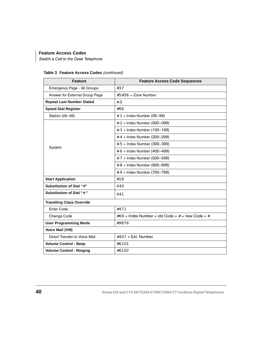### **Feature Access Codes**

Switch a Call to the Desk Telephone

#### **Table 3 Feature Access Codes** (continued)

<span id="page-49-6"></span><span id="page-49-5"></span><span id="page-49-4"></span><span id="page-49-3"></span><span id="page-49-2"></span><span id="page-49-1"></span><span id="page-49-0"></span>

| <b>Feature</b>                   | <b>Feature Access Code Sequences</b>                   |
|----------------------------------|--------------------------------------------------------|
| Emergency Page - All Groups      | #37                                                    |
| Answer for External Group Page   | $#5#36 +$ Zone Number                                  |
| <b>Repeat Last Number Dialed</b> | $*0$                                                   |
| <b>Speed Dial Register</b>       | #66                                                    |
| Station (00~99)                  | $*1$ + Index Number (00~99)                            |
|                                  | $*2$ + Index Number (000~099)                          |
|                                  | $*3$ + Index Number (100~199)                          |
|                                  | $*4$ + Index Number (200~299)                          |
| System                           | $\star$ 5 + Index Number (300~399)                     |
|                                  | <b>*6</b> + Index Number (400~499)                     |
|                                  | <b>*7</b> + Index Number (500~599)                     |
|                                  | $*8$ + Index Number (600~699)                          |
|                                  | <b>*9</b> + Index Number (700∼799)                     |
| <b>Start Application</b>         | #18                                                    |
| Substitution of Dial "#"         | 440                                                    |
| Substitution of Dial "*"         | 441                                                    |
| <b>Travelling Class Override</b> |                                                        |
| <b>Enter Code</b>                | #471                                                   |
| Change Code                      | $#69 +$ Index Number + old Code + $#$ + new Code + $#$ |
| <b>User Programming Mode</b>     | #9876                                                  |
| Voice Mail (VM)                  |                                                        |
| Direct Transfer to Voice Mail    | $#407 + Ext.$ Number                                   |
| <b>Volume Control - Beep</b>     | #6101                                                  |
| <b>Volume Control - Ringing</b>  | #6102                                                  |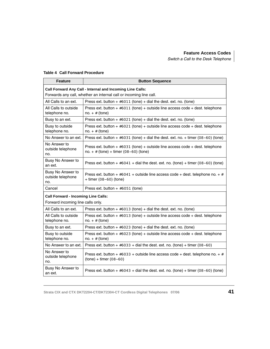<span id="page-50-0"></span>

|  | <b>Table 4 Call Forward Procedure</b> |
|--|---------------------------------------|
|  |                                       |

| <b>Feature</b>                                                                                                                  | <b>Button Sequence</b>                                                                                                      |  |
|---------------------------------------------------------------------------------------------------------------------------------|-----------------------------------------------------------------------------------------------------------------------------|--|
| Call Forward Any Call - Internal and Incoming Line Calls:<br>Forwards any call, whether an internal call or incoming line call. |                                                                                                                             |  |
| All Calls to an ext.                                                                                                            | Press ext. button $+$ #6011 (tone) $+$ dial the dest. ext. no. (tone)                                                       |  |
| All Calls to outside<br>telephone no.                                                                                           | Press ext. button + $\#6011$ (tone) + outside line access code + dest. telephone<br>$no. + # (none)$                        |  |
| Busy to an ext.                                                                                                                 | Press ext. button + $\#6021$ (tone) + dial the dest. ext. no. (tone)                                                        |  |
| Busy to outside<br>telephone no.                                                                                                | Press ext. button + $\#6021$ (tone) + outside line access code + dest. telephone<br>$no. + # (none)$                        |  |
| No Answer to an ext.                                                                                                            | Press ext. button + $\#6031$ (tone) + dial the dest. ext. no. + timer ( $08~60$ ) (tone)                                    |  |
| No Answer to<br>outside telephone<br>no.                                                                                        | Press ext. button + $\#6031$ (tone) + outside line access code + dest. telephone<br>no. + # (tone) + timer $(08~60)$ (tone) |  |
| Busy No Answer to<br>an ext.                                                                                                    | Press ext. button + $\#6041$ + dial the dest. ext. no. (tone) + timer (08~60) (tone)                                        |  |
| Busy No Answer to<br>outside telephone<br>no.                                                                                   | Press ext. button + $\#6041$ + outside line access code + dest. telephone no. + $\#$<br>+ timer $(08 - 60)$ (tone)          |  |
| Cancel                                                                                                                          | Press ext. button $+$ #6051 (tone)                                                                                          |  |
| <b>Call Forward - Incoming Line Calls:</b>                                                                                      |                                                                                                                             |  |
| Forward incoming line calls only.                                                                                               |                                                                                                                             |  |
| All Calls to an ext.                                                                                                            | Press ext. button $+$ #6013 (tone) $+$ dial the dest. ext. no. (tone)                                                       |  |
| All Calls to outside<br>telephone no.                                                                                           | Press ext. button + $\#6013$ (tone) + outside line access code + dest. telephone<br>$no. + # (none)$                        |  |
| Busy to an ext.                                                                                                                 | Press ext. button $+$ #6023 (tone) $+$ dial the dest. ext. no. (tone)                                                       |  |
| Busy to outside<br>telephone no.                                                                                                | Press ext. button + $\#6023$ (tone) + outside line access code + dest. telephone<br>$no. + # (none)$                        |  |
| No Answer to an ext.                                                                                                            | Press ext. button + $\#6033$ + dial the dest. ext. no. (tone) + timer (08~60)                                               |  |
| No Answer to<br>outside telephone<br>no.                                                                                        | Press ext. button + $\#6033 +$ outside line access code + dest. telephone no. + $\#$<br>$(hone) + timer (08~60)$            |  |
| Busy No Answer to<br>an ext.                                                                                                    | Press ext. button + $\#6043$ + dial the dest. ext. no. (tone) + timer (08~60) (tone)                                        |  |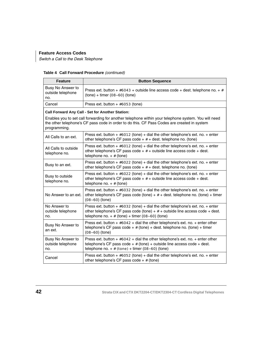#### **Table 4 Call Forward Procedure** (continued)

| <b>Feature</b>                                | <b>Button Sequence</b>                                                                                                                                                                                                   |
|-----------------------------------------------|--------------------------------------------------------------------------------------------------------------------------------------------------------------------------------------------------------------------------|
| Busy No Answer to<br>outside telephone<br>no. | Press ext. button + $\#6043$ + outside line access code + dest. telephone no. + $\#$<br>$(hone) + timer (08~60) (tone)$                                                                                                  |
| Cancel                                        | Press ext. button $+$ #6053 (tone)                                                                                                                                                                                       |
|                                               | Call Forward Any Call - Set for Another Station:                                                                                                                                                                         |
| programming.                                  | Enables you to set call forwarding for another telephone within your telephone system. You will need<br>the other telephone's CF pass code in order to do this. CF Pass Codes are created in system                      |
| All Calls to an ext.                          | Press ext. button + $\#6012$ (tone) + dial the other telephone's ext. no. + enter<br>other telephone's CF pass code $+$ # $+$ dest. telephone no. (tone)                                                                 |
| All Calls to outside<br>telephone no.         | Press ext. button + $\#6012$ (tone) + dial the other telephone's ext. no. + enter<br>other telephone's CF pass code $+$ # $+$ outside line access code $+$ dest.<br>telephone no. $+$ # (tone)                           |
| Busy to an ext.                               | Press ext. button + $\#6022$ (tone) + dial the other telephone's ext. no. + enter<br>other telephone's CF pass code $+$ # $+$ dest. telephone no. (tone)                                                                 |
| Busy to outside<br>telephone no.              | Press ext. button + $\#6022$ (tone) + dial the other telephone's ext. no. + enter<br>other telephone's CF pass code $+$ # + outside line access code + dest.<br>telephone no. $+$ # (tone)                               |
| No Answer to an ext.                          | Press ext. button + $\#6032$ (tone) + dial the other telephone's ext. no. + enter<br>other telephone's CF pass code (tone) $+$ # + dest. telephone no. (tone) + timer<br>$(08 - 60)$ (tone)                              |
| No Answer to<br>outside telephone<br>no.      | Press ext. button + $\#6032$ (tone) + dial the other telephone's ext. no. + enter<br>other telephone's CF pass code (tone) $+$ # + outside line access code + dest.<br>telephone no. $+$ # (tone) + timer (08~60) (tone) |
| Busy No Answer to<br>an ext.                  | Press ext. button + $\#6042 +$ dial the other telephone's ext. no. + enter other<br>telephone's CF pass code + $#$ (tone) + dest. telephone no. (tone) + timer<br>$(08 - 60)$ (tone)                                     |
| Busy No Answer to<br>outside telephone<br>no. | Press ext. button + $\#6042$ + dial the other telephone's ext. no. + enter other<br>telephone's CF pass code + $#$ (tone) + outside line access code + dest.<br>telephone no. $+$ # (tone) + timer (08~60) (tone)        |
| Cancel                                        | Press ext. button + $\#6052$ (tone) + dial the other telephone's ext. no. + enter<br>other telephone's CF pass code $+$ # (tone)                                                                                         |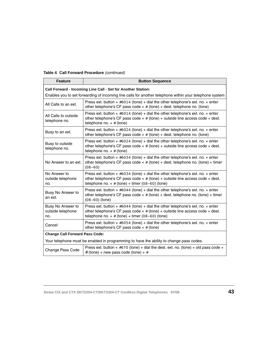#### **Table 4 Call Forward Procedure** (continued)

| <b>Feature</b>                                                                          | <b>Button Sequence</b>                                                                                                                                                                                                   |  |
|-----------------------------------------------------------------------------------------|--------------------------------------------------------------------------------------------------------------------------------------------------------------------------------------------------------------------------|--|
|                                                                                         | Call Forward - Incoming Line Call - Set for Another Station:                                                                                                                                                             |  |
|                                                                                         | Enables you to set forwarding of incoming line calls for another telephone within your telephone system                                                                                                                  |  |
| All Calls to an ext.                                                                    | Press ext. button + $\#6014$ (tone) + dial the other telephone's ext. no. + enter<br>other telephone's CF pass code $+$ # (tone) + dest. telephone no. (tone)                                                            |  |
| All Calls to outside<br>telephone no.                                                   | Press ext. button + $\#6014$ (tone) + dial the other telephone's ext. no. + enter<br>other telephone's CF pass code + $#$ (tone) + outside line access code + dest.<br>telephone no. $+$ # (tone)                        |  |
| Busy to an ext.                                                                         | Press ext. button + $\#6024$ (tone) + dial the other telephone's ext. no. + enter<br>other telephone's CF pass code $+$ # (tone) + dest. telephone no. (tone)                                                            |  |
| Busy to outside<br>telephone no.                                                        | Press ext. button + $\#6024$ (tone) + dial the other telephone's ext. no. + enter<br>other telephone's CF pass code + $#$ (tone) + outside line access code + dest.<br>telephone no. $+$ # (tone)                        |  |
| No Answer to an ext.                                                                    | Press ext. button + $\#6034$ (tone) + dial the other telephone's ext. no. + enter<br>other telephone's CF pass code + $#$ (tone) + dest. telephone no. (tone) + timer<br>$(08 - 60)$                                     |  |
| No Answer to<br>outside telephone<br>no.                                                | Press ext. button + $\#6034$ (tone) + dial the other telephone's ext. no. + enter<br>other telephone's CF pass code + $#$ (tone) + outside line access code + dest.<br>telephone no. $+$ # (tone) + timer (08~60) (tone) |  |
| Busy No Answer to<br>an ext.                                                            | Press ext. button + $\#6044$ (tone) + dial the other telephone's ext. no. + enter<br>other telephone's CF pass code + $#$ (tone) + dest. telephone no. (tone) + timer<br>$(08 - 60)$ (tone)                              |  |
| Busy No Answer to<br>outside telephone<br>no.                                           | Press ext. button + $\#6044$ (tone) + dial the other telephone's ext. no. + enter<br>other telephone's CF pass code $+$ # (tone) + outside line access code + dest.<br>telephone no. $+$ # (tone) + timer (08~60) (tone) |  |
| Cancel                                                                                  | Press ext. button + $\#6054$ (tone) + dial the other telephone's ext. no. + enter<br>other telephone's CF pass code $+$ # (tone)                                                                                         |  |
| <b>Change Call Forward Pass Code:</b>                                                   |                                                                                                                                                                                                                          |  |
| Your telephone must be enabled in programming to have the ability to change pass codes. |                                                                                                                                                                                                                          |  |
| Change Pass Code                                                                        | Press ext. button + $\#$ 670 (tone) + dial the dest. ext. no. (tone) + old pass code +<br># (tone) + new pass code (tone) + #                                                                                            |  |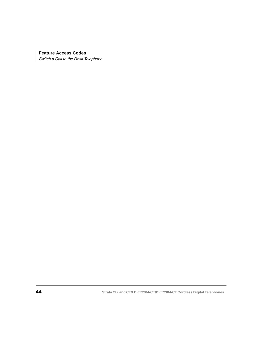#### **Feature Access Codes**

Switch a Call to the Desk Telephone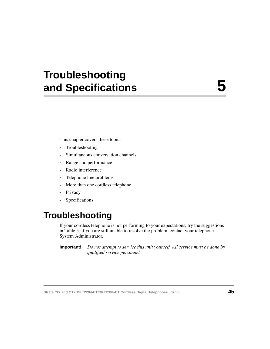# <span id="page-54-0"></span>**Troubleshooting and Specifications 5**

This chapter covers these topics:

- **•** Troubleshooting
- **•** Simultaneous conversation channels
- **•** Range and performance
- **•** Radio interference
- **•** Telephone line problems
- **•** More than one cordless telephone
- **•** Privacy
- <span id="page-54-2"></span>**•** Specifications

# <span id="page-54-1"></span>**Troubleshooting**

If your cordless telephone is not performing to your expectations, try the suggestions in [Table 5.](#page-55-0) If you are still unable to resolve the problem, contact your telephone System Administrator.

**Important!** *Do not attempt to service this unit yourself. All service must be done by qualified service personnel.*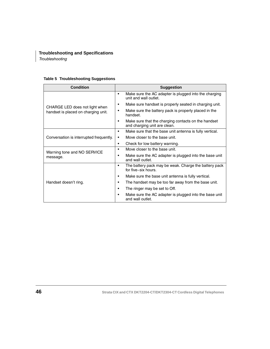<span id="page-55-0"></span>

|  | <b>Table 5 Troubleshooting Suggestions</b> |  |
|--|--------------------------------------------|--|
|--|--------------------------------------------|--|

| <b>Condition</b>                        | <b>Suggestion</b>                                                                                |  |
|-----------------------------------------|--------------------------------------------------------------------------------------------------|--|
|                                         | Make sure the AC adapter is plugged into the charging<br>$\bullet$<br>unit and wall outlet.      |  |
| CHARGE LED does not light when          | Make sure handset is properly seated in charging unit.<br>٠                                      |  |
| handset is placed on charging unit.     | Make sure the battery pack is properly placed in the<br>٠<br>handset.                            |  |
|                                         | Make sure that the charging contacts on the handset<br>$\bullet$<br>and charging unit are clean. |  |
|                                         | Make sure that the base unit antenna is fully vertical.<br>٠                                     |  |
| Conversation is interrupted frequently. | Move closer to the base unit.<br>$\bullet$                                                       |  |
|                                         | Check for low battery warning.<br>$\bullet$                                                      |  |
| Warning tone and NO SERVICE<br>message. | Move closer to the base unit.<br>$\bullet$                                                       |  |
|                                         | Make sure the AC adapter is plugged into the base unit<br>$\bullet$<br>and wall outlet.          |  |
|                                         | The battery pack may be weak. Charge the battery pack<br>$\bullet$<br>for five~six hours.        |  |
|                                         | Make sure the base unit antenna is fully vertical.<br>٠                                          |  |
| Handset doesn't ring.                   | The handset may be too far away from the base unit.<br>$\bullet$                                 |  |
|                                         | The ringer may be set to Off.<br>$\bullet$                                                       |  |
|                                         | Make sure the AC adapter is plugged into the base unit<br>$\bullet$<br>and wall outlet.          |  |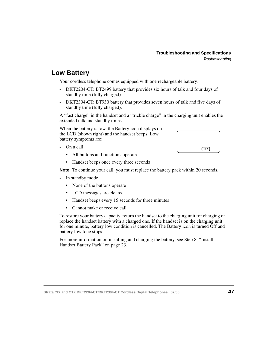### <span id="page-56-0"></span>**Low Battery**

<span id="page-56-1"></span>Your cordless telephone comes equipped with one rechargeable battery:

- **•** DKT2204-CT: BT2499 battery that provides six hours of talk and four days of standby time (fully charged).
- **•** DKT2304-CT: BT930 battery that provides seven hours of talk and five days of standby time (fully charged).

A "fast charge" in the handset and a "trickle charge" in the charging unit enables the extended talk and standby times.

When the battery is low, the Battery icon displays on the LCD (shown right) and the handset beeps. Low battery symptoms are:

- **•** On a call
	- All buttons and functions operate
	- Handset beeps once every three seconds

**Note** To continue your call, you must replace the battery pack within 20 seconds.

- **•** In standby mode
	- None of the buttons operate
	- LCD messages are cleared
	- Handset beeps every 15 seconds for three minutes
	- Cannot make or receive call

To restore your battery capacity, return the handset to the charging unit for charging or replace the handset battery with a charged one. If the handset is on the charging unit for one minute, battery low condition is cancelled. The Battery icon is turned Off and battery low tone stops.

For more information on installing and charging the battery, see [Step 8: "Install](#page-32-1)  [Handset Battery Pack"](#page-32-1) on [page 23](#page-32-1).

| <b>ILOW</b> |  |
|-------------|--|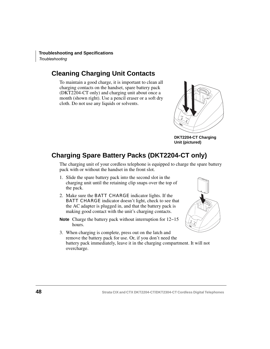### <span id="page-57-0"></span>**Cleaning Charging Unit Contacts**

<span id="page-57-3"></span>To maintain a good charge, it is important to clean all charging contacts on the handset, spare battery pack (DKT2204-CT only) and charging unit about once a month (shown right). Use a pencil eraser or a soft dry cloth. Do not use any liquids or solvents.



**DKT2204-CT Charging Unit (pictured)**

### <span id="page-57-2"></span><span id="page-57-1"></span>**Charging Spare Battery Packs (DKT2204-CT only)**

The charging unit of your cordless telephone is equipped to charge the spare battery pack with or without the handset in the front slot.

- 1. Slide the spare battery pack into the second slot in the charging unit until the retaining clip snaps over the top of the pack.
- 2. Make sure the BATT CHARGE indicator lights. If the **BATT CHARGE** indicator doesn't light, check to see that the AC adapter is plugged in, and that the battery pack is making good contact with the unit's charging contacts.
- **Note** Charge the battery pack without interruption for  $12{\sim}15$ hours.



3. When charging is complete, press out on the latch and remove the battery pack for use. Or, if you don't need the battery pack immediately, leave it in the charging compartment. It will not overcharge.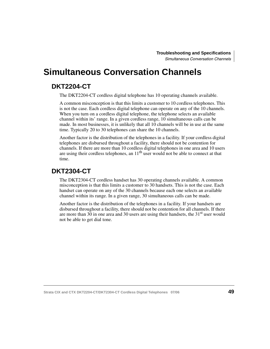## <span id="page-58-3"></span><span id="page-58-0"></span>**Simultaneous Conversation Channels**

### <span id="page-58-1"></span>**DKT2204-CT**

The DKT2204-CT cordless digital telephone has 10 operating channels available.

A common misconception is that this limits a customer to 10 cordless telephones. This is not the case. Each cordless digital telephone can operate on any of the 10 channels. When you turn on a cordless digital telephone, the telephone selects an available channel within its' range. In a given cordless range, 10 simultaneous calls can be made. In most businesses, it is unlikely that all 10 channels will be in use at the same time. Typically 20 to 30 telephones can share the 10 channels.

Another factor is the distribution of the telephones in a facility. If your cordless digital telephones are disbursed throughout a facility, there should not be contention for channels. If there are more than 10 cordless digital telephones in one area and 10 users are using their cordless telephones, an  $11<sup>th</sup>$  user would not be able to connect at that time.

### <span id="page-58-2"></span>**DKT2304-CT**

The DKT2304-CT cordless handset has 30 operating channels available. A common misconception is that this limits a customer to 30 handsets. This is not the case. Each handset can operate on any of the 30 channels because each one selects an available channel within its range. In a given range, 30 simultaneous calls can be made.

Another factor is the distribution of the telephones in a facility. If your handsets are disbursed throughout a facility, there should not be contention for all channels. If there are more than 30 in one area and 30 users are using their handsets, the  $31<sup>st</sup>$  user would not be able to get dial tone.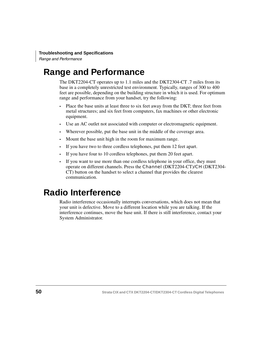## <span id="page-59-4"></span><span id="page-59-0"></span>**Range and Performance**

<span id="page-59-2"></span>The DKT2204-CT operates up to 1.1 miles and the DKT2304-CT .7 miles from its base in a completely unrestricted test environment. Typically, ranges of 300 to 400 feet are possible, depending on the building structure in which it is used. For optimum range and performance from your handset, try the following:

- **•** Place the base units at least three to six feet away from the DKT; three feet from metal structures; and six feet from computers, fax machines or other electronic equipment.
- **•** Use an AC outlet not associated with computer or electromagnetic equipment.
- **•** Wherever possible, put the base unit in the middle of the coverage area.
- **•** Mount the base unit high in the room for maximum range.
- **•** If you have two to three cordless telephones, put them 12 feet apart.
- **•** If you have four to 10 cordless telephones, put them 20 feet apart.
- **•** If you want to use more than one cordless telephone in your office, they must operate on different channels. Press the Channel (DKT2204-CT)/CH (DKT2304- CT) button on the handset to select a channel that provides the clearest communication.

# <span id="page-59-3"></span><span id="page-59-1"></span>**Radio Interference**

Radio interference occasionally interrupts conversations, which does not mean that your unit is defective. Move to a different location while you are talking. If the interference continues, move the base unit. If there is still interference, contact your System Administrator.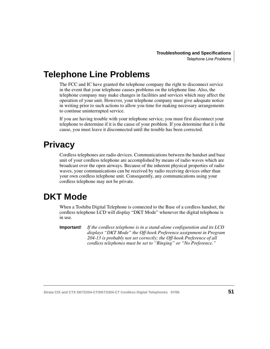## <span id="page-60-0"></span>**Telephone Line Problems**

<span id="page-60-4"></span>The FCC and IC have granted the telephone company the right to disconnect service in the event that your telephone causes problems on the telephone line. Also, the telephone company may make changes in facilities and services which may affect the operation of your unit. However, your telephone company must give adequate notice in writing prior to such actions to allow you time for making necessary arrangements to continue uninterrupted service.

<span id="page-60-3"></span>If you are having trouble with your telephone service, you must first disconnect your telephone to determine if it is the cause of your problem. If you determine that it is the cause, you must leave it disconnected until the trouble has been corrected.

# <span id="page-60-1"></span>**Privacy**

Cordless telephones are radio devices. Communications between the handset and base unit of your cordless telephone are accomplished by means of radio waves which are broadcast over the open airways. Because of the inherent physical properties of radio waves, your communications can be received by radio receiving devices other than your own cordless telephone unit. Consequently, any communications using your cordless telephone may not be private.

## <span id="page-60-2"></span>**DKT Mode**

When a Toshiba Digital Telephone is connected to the Base of a cordless handset, the cordless telephone LCD will display "DKT Mode" whenever the digital telephone is in use.

**Important!** *If the cordless telephone is in a stand-alone configuration and its LCD displays "DKT Mode" the Off-hook Preference assignment in Program 204-13 is probably not set correctly; the Off-hook Preference of all cordless telephones must be set to "Ringing" or "No Preference."*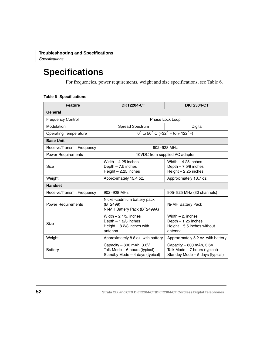<span id="page-61-2"></span>**Specifications** 

# <span id="page-61-0"></span>**Specifications**

For frequencies, power requirements, weight and size specifications, see [Table 6.](#page-61-1)

#### <span id="page-61-1"></span>**Table 6 Specifications**

| <b>Feature</b>               | <b>DKT2204-CT</b>                                                                             | <b>DKT2304-CT</b>                                                                             |  |
|------------------------------|-----------------------------------------------------------------------------------------------|-----------------------------------------------------------------------------------------------|--|
| <b>General</b>               |                                                                                               |                                                                                               |  |
| <b>Frequency Control</b>     | Phase Lock Loop                                                                               |                                                                                               |  |
| Modulation                   | <b>Spread Spectrum</b>                                                                        | Digital                                                                                       |  |
| <b>Operating Temperature</b> | 0° to 50° C (+32° F to + 122°F)                                                               |                                                                                               |  |
| <b>Base Unit</b>             |                                                                                               |                                                                                               |  |
| Receive/Transmit Frequency   | 902~928 MHz                                                                                   |                                                                                               |  |
| <b>Power Requirements</b>    | 10VDC from supplied AC adapter                                                                |                                                                                               |  |
| <b>Size</b>                  | Width $-4.25$ inches<br>Depth $-7.5$ inches<br>Height $-2.25$ inches                          | Width $-4.25$ inches<br>Depth $-75/8$ inches<br>Height $-2.25$ inches                         |  |
| Weight                       | Approximately 15.4 oz.                                                                        | Approximately 13.7 oz.                                                                        |  |
| <b>Handset</b>               |                                                                                               |                                                                                               |  |
| Receive/Transmit Frequency   | 902~928 MHz                                                                                   | 905~925 MHz (30 channels)                                                                     |  |
| <b>Power Requirements</b>    | Nickel-cadmium battery pack<br>(BT2499)<br>NI-MH Battery Pack (BT2499A)                       | Ni-MH Battery Pack                                                                            |  |
| Size                         | Width $-2$ 1/5, inches<br>Depth $-1$ 2/3 inches<br>Height $-8$ 2/3 inches with<br>antenna     | Width $-2$ . inches<br>Depth $-1.25$ inches<br>Height $-5.5$ inches without<br>antenna        |  |
| Weight                       | Approximately 8.8 oz. with battery                                                            | Approximately 5.2 oz. with battery                                                            |  |
| Battery                      | Capacity - 800 mAh, 3.6V<br>Talk Mode $-6$ hours (typical)<br>Standby Mode - 4 days (typical) | Capacity - 800 mAh, 3.6V<br>Talk Mode $-7$ hours (typical)<br>Standby Mode - 5 days (typical) |  |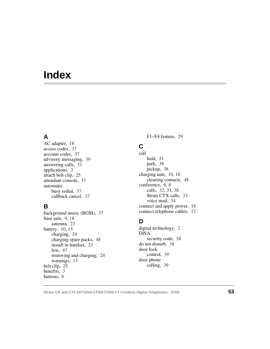# <span id="page-62-0"></span>**Index**

### **A**

AC adapter, [18](#page-27-3) access codes, [37](#page-46-2) account codes, [37](#page-46-3) advisory messaging, [39](#page-48-0) answering calls, [31](#page-40-4) applications, [3](#page-12-2) attach belt clip, [25](#page-34-1) attendant console, [37](#page-46-4) automatic busy redial, [37](#page-46-5) callback cancel, [37](#page-46-6)

### **B**

background music (BGM), [37](#page-46-7) base unit, [9](#page-18-2), [18](#page-27-4) antenna, [23](#page-32-4) battery, [10,](#page-19-3) [15](#page-24-0) charging, [24](#page-33-2) charging spare packs, [48](#page-57-2) install in handset, [23](#page-32-5) low, [47](#page-56-1) removing and charging, [24](#page-33-2) warnings, [15](#page-24-1) belt clip, [25](#page-34-1) benefits, [3](#page-12-3) buttons, [6](#page-15-0)

F1~F4 feature, [29](#page-38-2)

### **C**

call hold, [31](#page-40-5) park, [38](#page-47-0) pickup, [38](#page-47-1) charging unit, [10,](#page-19-3) [18](#page-27-5) cleaning contacts, [48](#page-57-3) conference, [6,](#page-15-1) [8](#page-17-0) calls, [32](#page-41-4), [33,](#page-42-1) [38](#page-47-2) Strata CTX calls, [33](#page-42-2) voice mail, [34](#page-43-2) connect and apply power, [18](#page-27-6) connect telephone cables, [17](#page-26-1)

### **D**

digital technology, [2](#page-11-1) DISA security code, [38](#page-47-3) do not disturb, [38](#page-47-4) door lock control, [39](#page-48-1) door phone calling, [39](#page-48-2)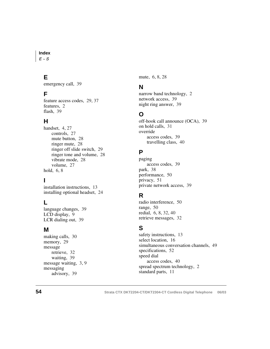#### **Index**

 $E \sim S$ 

### **E**

emergency call, [39](#page-48-3)

### **F**

feature access codes, [29](#page-38-3), [37](#page-46-8) features, [2](#page-11-2) flash, [39](#page-48-4)

### **H**

handset, [4](#page-13-1), [27](#page-36-3) controls, [27](#page-36-4) mute button, [28](#page-37-4) ringer mute, [28](#page-37-5) ringer off slide switch, [29](#page-38-4) ringer tone and volume, [28](#page-37-6) vibrate mode, [28](#page-37-7) volume, [27](#page-36-5) hold, [6](#page-15-2), [8](#page-17-1)

### **I**

installation instructions, [13](#page-22-2) installing optional headset, [24](#page-33-3)

### **L**

language changes, [39](#page-48-5) LCD display, [9](#page-18-3) LCR dialing out, [39](#page-48-6)

#### **M**

making calls, [30](#page-39-3) memory, [29](#page-38-5) message retrieve, [32](#page-41-5) waiting, [39](#page-48-7) message waiting, [3,](#page-12-4) [9](#page-18-4) messaging advisory, [39](#page-48-0)

mute, [6,](#page-15-3) [8,](#page-17-2) [28](#page-37-4)

### **N**

narrow band technology, [2](#page-11-3) network access, [39](#page-48-8) night ring answer, [39](#page-48-9)

### **O**

off-hook call announce (OCA), [39](#page-48-10) on hold calls, [31](#page-40-5) override access codes, [39](#page-48-11) travelling class, [40](#page-49-0)

#### **P**

paging access codes, [39](#page-48-12) park, [38](#page-47-0) performance, [50](#page-59-2) privacy, [51](#page-60-3) private network access, [39](#page-48-8)

### **R**

radio interference, [50](#page-59-3) range, [50](#page-59-4) redial, [6,](#page-15-4) [8,](#page-17-3) [32](#page-41-6), [40](#page-49-1) retrieve messages, [32](#page-41-5)

### **S**

safety instructions, [13](#page-22-2) select location, [16](#page-25-2) simultaneous conversation channels, [49](#page-58-3) specifications, [52](#page-61-2) speed dial access codes, [40](#page-49-2) spread spectrum technology, [2](#page-11-4) standard parts, [11](#page-20-1)